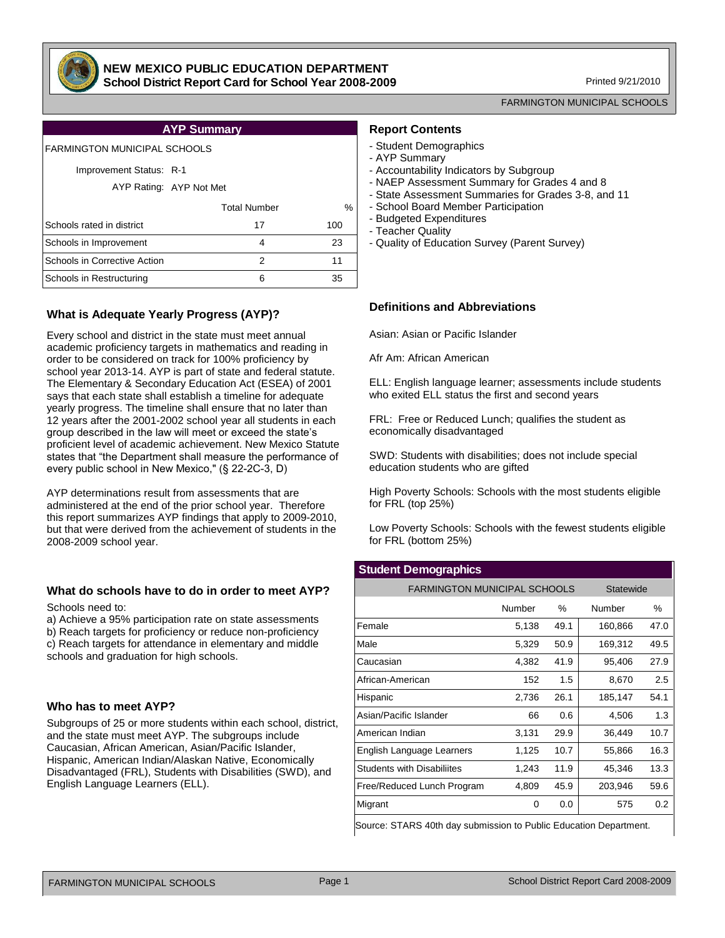

#### **NEW MEXICO PUBLIC EDUCATION DEPARTMENT School District Report Card for School Year 2008-2009**

Printed 9/21/2010

FARMINGTON MUNICIPAL SCHOOLS

|--|

| <b>FARMINGTON MUNICIPAL SCHOOLS</b> |                                                    |  |  |  |  |  |  |  |  |  |  |  |
|-------------------------------------|----------------------------------------------------|--|--|--|--|--|--|--|--|--|--|--|
|                                     |                                                    |  |  |  |  |  |  |  |  |  |  |  |
|                                     |                                                    |  |  |  |  |  |  |  |  |  |  |  |
| <b>Total Number</b>                 | $\%$                                               |  |  |  |  |  |  |  |  |  |  |  |
| 17                                  | 100                                                |  |  |  |  |  |  |  |  |  |  |  |
| 4                                   | 23                                                 |  |  |  |  |  |  |  |  |  |  |  |
| 2                                   | 11                                                 |  |  |  |  |  |  |  |  |  |  |  |
| 6                                   | 35                                                 |  |  |  |  |  |  |  |  |  |  |  |
|                                     | Improvement Status: R-1<br>AYP Rating: AYP Not Met |  |  |  |  |  |  |  |  |  |  |  |

## **What is Adequate Yearly Progress (AYP)?**

Every school and district in the state must meet annual academic proficiency targets in mathematics and reading in order to be considered on track for 100% proficiency by school year 2013-14. AYP is part of state and federal statute. The Elementary & Secondary Education Act (ESEA) of 2001 says that each state shall establish a timeline for adequate yearly progress. The timeline shall ensure that no later than 12 years after the 2001-2002 school year all students in each group described in the law will meet or exceed the state's proficient level of academic achievement. New Mexico Statute states that "the Department shall measure the performance of every public school in New Mexico," (§ 22-2C-3, D)

AYP determinations result from assessments that are administered at the end of the prior school year. Therefore this report summarizes AYP findings that apply to 2009-2010, but that were derived from the achievement of students in the 2008-2009 school year.

## **What do schools have to do in order to meet AYP?**

Schools need to:

a) Achieve a 95% participation rate on state assessments b) Reach targets for proficiency or reduce non-proficiency c) Reach targets for attendance in elementary and middle schools and graduation for high schools.

## **Who has to meet AYP?**

Subgroups of 25 or more students within each school, district, and the state must meet AYP. The subgroups include Caucasian, African American, Asian/Pacific Islander, Hispanic, American Indian/Alaskan Native, Economically Disadvantaged (FRL), Students with Disabilities (SWD), and English Language Learners (ELL).

### **Report Contents**

- Student Demographics
- AYP Summary
- Accountability Indicators by Subgroup
- NAEP Assessment Summary for Grades 4 and 8
- State Assessment Summaries for Grades 3-8, and 11
- School Board Member Participation
- Budgeted Expenditures
- Teacher Quality
- Quality of Education Survey (Parent Survey)

## **Definitions and Abbreviations**

Asian: Asian or Pacific Islander

Afr Am: African American

ELL: English language learner; assessments include students who exited ELL status the first and second years

FRL: Free or Reduced Lunch; qualifies the student as economically disadvantaged

SWD: Students with disabilities; does not include special education students who are gifted

High Poverty Schools: Schools with the most students eligible for FRL (top 25%)

Low Poverty Schools: Schools with the fewest students eligible for FRL (bottom 25%)

### **Student Demographics**

| <b>FARMINGTON MUNICIPAL SCHOOLS</b> |        |      | Statewide |      |
|-------------------------------------|--------|------|-----------|------|
|                                     | Number | ℅    | Number    | %    |
| Female                              | 5,138  | 49.1 | 160,866   | 47.0 |
| Male                                | 5,329  | 50.9 | 169,312   | 49.5 |
| Caucasian                           | 4,382  | 41.9 | 95,406    | 27.9 |
| African-American                    | 152    | 1.5  | 8,670     | 2.5  |
| Hispanic                            | 2,736  | 26.1 | 185,147   | 54.1 |
| Asian/Pacific Islander              | 66     | 0.6  | 4,506     | 1.3  |
| American Indian                     | 3,131  | 29.9 | 36,449    | 10.7 |
| English Language Learners           | 1,125  | 10.7 | 55,866    | 16.3 |
| <b>Students with Disabiliites</b>   | 1,243  | 11.9 | 45,346    | 13.3 |
| Free/Reduced Lunch Program          | 4,809  | 45.9 | 203,946   | 59.6 |
| Migrant                             | 0      | 0.0  | 575       | 0.2  |

Source: STARS 40th day submission to Public Education Department.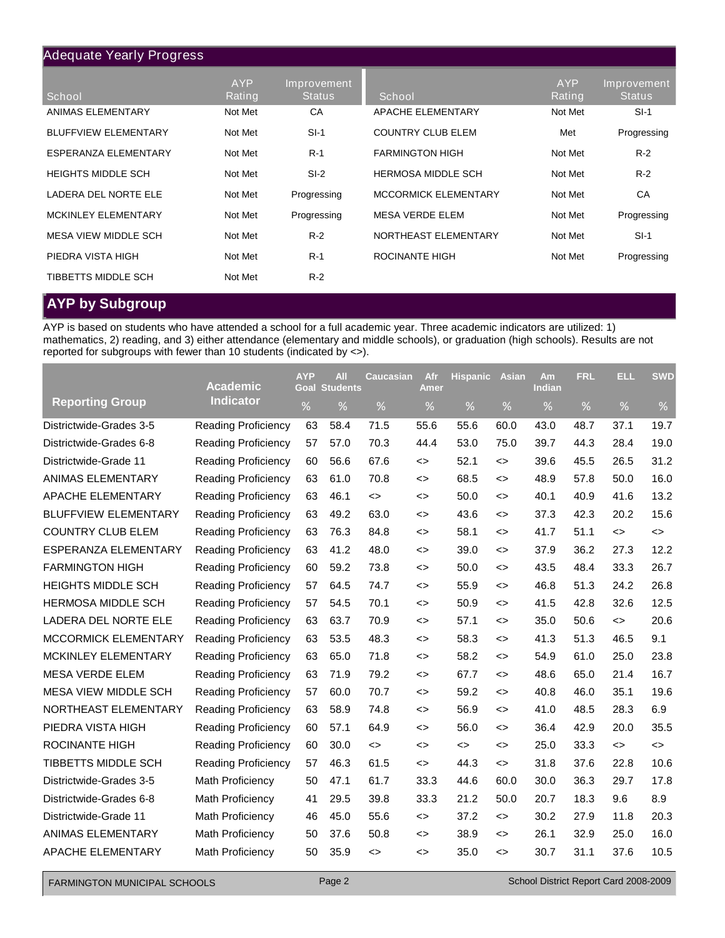## Adequate Yearly Progress

| School                      | <b>AYP</b><br>Rating | Improvement<br><b>Status</b> | School                      | <b>AYP</b><br>Rating | Improvement<br><b>Status</b> |
|-----------------------------|----------------------|------------------------------|-----------------------------|----------------------|------------------------------|
| ANIMAS ELEMENTARY           | Not Met              | CA                           | APACHE ELEMENTARY           | Not Met              | $SI-1$                       |
| <b>BLUFFVIEW ELEMENTARY</b> | Not Met              | $SI-1$                       | <b>COUNTRY CLUB ELEM</b>    | Met                  | Progressing                  |
| ESPERANZA ELEMENTARY        | Not Met              | $R-1$                        | <b>FARMINGTON HIGH</b>      | Not Met              | $R-2$                        |
| <b>HEIGHTS MIDDLE SCH</b>   | Not Met              | $SI-2$                       | <b>HERMOSA MIDDLE SCH</b>   | Not Met              | $R-2$                        |
| LADERA DEL NORTE ELE        | Not Met              | Progressing                  | <b>MCCORMICK ELEMENTARY</b> | Not Met              | CA                           |
| <b>MCKINLEY ELEMENTARY</b>  | Not Met              | Progressing                  | <b>MESA VERDE ELEM</b>      | Not Met              | Progressing                  |
| MESA VIEW MIDDLE SCH        | Not Met              | $R-2$                        | NORTHEAST ELEMENTARY        | Not Met              | $SI-1$                       |
| PIEDRA VISTA HIGH           | Not Met              | $R-1$                        | ROCINANTE HIGH              | Not Met              | Progressing                  |
| TIBBETTS MIDDLE SCH         | Not Met              | $R-2$                        |                             |                      |                              |

# **AYP by Subgroup**

AYP is based on students who have attended a school for a full academic year. Three academic indicators are utilized: 1) mathematics, 2) reading, and 3) either attendance (elementary and middle schools), or graduation (high schools). Results are not reported for subgroups with fewer than 10 students (indicated by <>).

|                             | <b>Academic</b>            | <b>AYP</b> | <b>AII</b><br><b>Goal Students</b> | <b>Caucasian</b>             | Afr<br>Amer       | <b>Hispanic</b> | <b>Asian</b>      | Am<br><b>Indian</b> | <b>FRL</b> | <b>ELL</b>                   | <b>SWD</b> |
|-----------------------------|----------------------------|------------|------------------------------------|------------------------------|-------------------|-----------------|-------------------|---------------------|------------|------------------------------|------------|
| <b>Reporting Group</b>      | <b>Indicator</b>           | %          | %                                  | %                            | %                 | %               | %                 | %                   | %          | %                            | $\%$       |
| Districtwide-Grades 3-5     | <b>Reading Proficiency</b> | 63         | 58.4                               | 71.5                         | 55.6              | 55.6            | 60.0              | 43.0                | 48.7       | 37.1                         | 19.7       |
| Districtwide-Grades 6-8     | Reading Proficiency        | 57         | 57.0                               | 70.3                         | 44.4              | 53.0            | 75.0              | 39.7                | 44.3       | 28.4                         | 19.0       |
| Districtwide-Grade 11       | <b>Reading Proficiency</b> | 60         | 56.6                               | 67.6                         | <>                | 52.1            | <>                | 39.6                | 45.5       | 26.5                         | 31.2       |
| ANIMAS ELEMENTARY           | <b>Reading Proficiency</b> | 63         | 61.0                               | 70.8                         | <>                | 68.5            | <>                | 48.9                | 57.8       | 50.0                         | 16.0       |
| APACHE ELEMENTARY           | <b>Reading Proficiency</b> | 63         | 46.1                               | $\dot{\leq}$                 | <>                | 50.0            | $\leftrightarrow$ | 40.1                | 40.9       | 41.6                         | 13.2       |
| <b>BLUFFVIEW ELEMENTARY</b> | <b>Reading Proficiency</b> | 63         | 49.2                               | 63.0                         | <>                | 43.6            | <>                | 37.3                | 42.3       | 20.2                         | 15.6       |
| <b>COUNTRY CLUB ELEM</b>    | <b>Reading Proficiency</b> | 63         | 76.3                               | 84.8                         | <>                | 58.1            | <>                | 41.7                | 51.1       | <>                           | <>         |
| ESPERANZA ELEMENTARY        | <b>Reading Proficiency</b> | 63         | 41.2                               | 48.0                         | <>                | 39.0            | <>                | 37.9                | 36.2       | 27.3                         | 12.2       |
| <b>FARMINGTON HIGH</b>      | <b>Reading Proficiency</b> | 60         | 59.2                               | 73.8                         | <>                | 50.0            | <>                | 43.5                | 48.4       | 33.3                         | 26.7       |
| <b>HEIGHTS MIDDLE SCH</b>   | Reading Proficiency        | 57         | 64.5                               | 74.7                         | <>                | 55.9            | <>                | 46.8                | 51.3       | 24.2                         | 26.8       |
| <b>HERMOSA MIDDLE SCH</b>   | <b>Reading Proficiency</b> | 57         | 54.5                               | 70.1                         | <>                | 50.9            | $\leftrightarrow$ | 41.5                | 42.8       | 32.6                         | 12.5       |
| LADERA DEL NORTE ELE        | <b>Reading Proficiency</b> | 63         | 63.7                               | 70.9                         | <>                | 57.1            | <>                | 35.0                | 50.6       | <>                           | 20.6       |
| <b>MCCORMICK ELEMENTARY</b> | <b>Reading Proficiency</b> | 63         | 53.5                               | 48.3                         | $\leftrightarrow$ | 58.3            | $\leftrightarrow$ | 41.3                | 51.3       | 46.5                         | 9.1        |
| MCKINLEY ELEMENTARY         | <b>Reading Proficiency</b> | 63         | 65.0                               | 71.8                         | <>                | 58.2            | <>                | 54.9                | 61.0       | 25.0                         | 23.8       |
| <b>MESA VERDE ELEM</b>      | <b>Reading Proficiency</b> | 63         | 71.9                               | 79.2                         | <>                | 67.7            | <>                | 48.6                | 65.0       | 21.4                         | 16.7       |
| MESA VIEW MIDDLE SCH        | <b>Reading Proficiency</b> | 57         | 60.0                               | 70.7                         | $\leftrightarrow$ | 59.2            | $\leftrightarrow$ | 40.8                | 46.0       | 35.1                         | 19.6       |
| NORTHEAST ELEMENTARY        | <b>Reading Proficiency</b> | 63         | 58.9                               | 74.8                         | <>                | 56.9            | <>                | 41.0                | 48.5       | 28.3                         | 6.9        |
| PIEDRA VISTA HIGH           | <b>Reading Proficiency</b> | 60         | 57.1                               | 64.9                         | <>                | 56.0            | <>                | 36.4                | 42.9       | 20.0                         | 35.5       |
| <b>ROCINANTE HIGH</b>       | <b>Reading Proficiency</b> | 60         | 30.0                               | $\left\langle \right\rangle$ | <>                | $\dot{\leq}$    | <>                | 25.0                | 33.3       | $\left\langle \right\rangle$ | <>         |
| TIBBETTS MIDDLE SCH         | <b>Reading Proficiency</b> | 57         | 46.3                               | 61.5                         | <>                | 44.3            | <>                | 31.8                | 37.6       | 22.8                         | 10.6       |
| Districtwide-Grades 3-5     | Math Proficiency           | 50         | 47.1                               | 61.7                         | 33.3              | 44.6            | 60.0              | 30.0                | 36.3       | 29.7                         | 17.8       |
| Districtwide-Grades 6-8     | Math Proficiency           | 41         | 29.5                               | 39.8                         | 33.3              | 21.2            | 50.0              | 20.7                | 18.3       | 9.6                          | 8.9        |
| Districtwide-Grade 11       | Math Proficiency           | 46         | 45.0                               | 55.6                         | <>                | 37.2            | <>                | 30.2                | 27.9       | 11.8                         | 20.3       |
| ANIMAS ELEMENTARY           | Math Proficiency           | 50         | 37.6                               | 50.8                         | <>                | 38.9            | <>                | 26.1                | 32.9       | 25.0                         | 16.0       |
| <b>APACHE ELEMENTARY</b>    | Math Proficiency           | 50         | 35.9                               | <>                           | <>                | 35.0            | <>                | 30.7                | 31.1       | 37.6                         | 10.5       |
|                             |                            |            |                                    |                              |                   |                 |                   |                     |            |                              |            |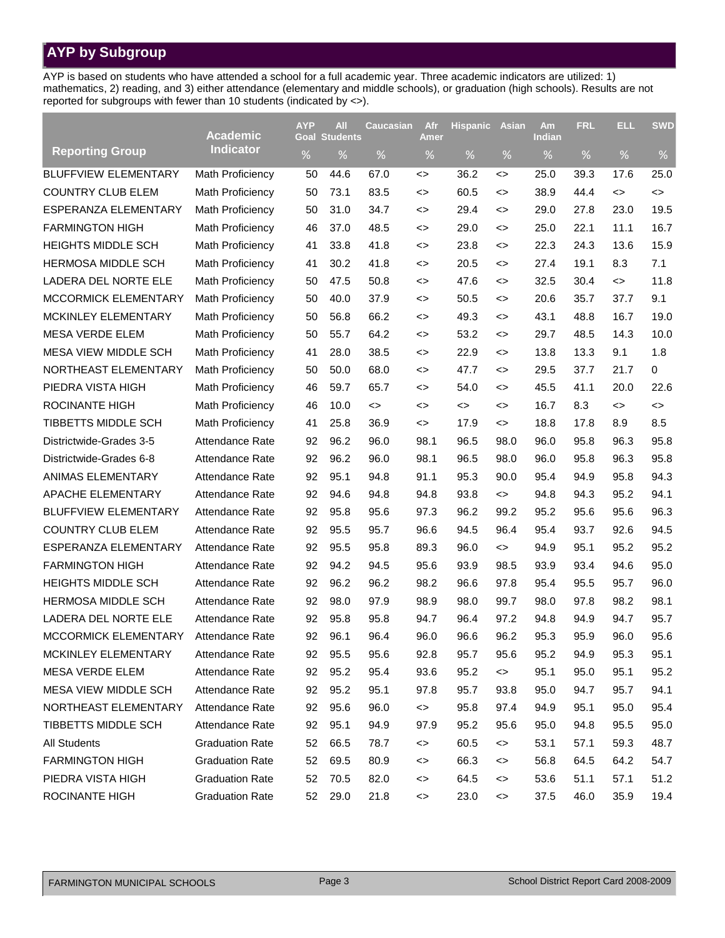# **AYP by Subgroup**

AYP is based on students who have attended a school for a full academic year. Three academic indicators are utilized: 1) mathematics, 2) reading, and 3) either attendance (elementary and middle schools), or graduation (high schools). Results are not reported for subgroups with fewer than 10 students (indicated by <>).

|                             | <b>Academic</b>         | <b>AYP</b><br>Goal | All<br><b>Students</b> | Caucasian | Afr<br>Amer   | <u>Hispanic</u> | <b>Asian</b>  | Am<br>Indian | <b>FRL</b> | ELL.     | <b>SWD</b> |
|-----------------------------|-------------------------|--------------------|------------------------|-----------|---------------|-----------------|---------------|--------------|------------|----------|------------|
| <b>Reporting Group</b>      | <b>Indicator</b>        | $\%$               | %                      | $\%$      | %             | %               | $\%$          | $\%$         | $\%$       | $\%$     | $\%$       |
| <b>BLUFFVIEW ELEMENTARY</b> | Math Proficiency        | 50                 | 44.6                   | 67.0      | <>            | 36.2            | <>            | 25.0         | 39.3       | 17.6     | 25.0       |
| <b>COUNTRY CLUB ELEM</b>    | Math Proficiency        | 50                 | 73.1                   | 83.5      | <>            | 60.5            | <>            | 38.9         | 44.4       | <>       | <>         |
| ESPERANZA ELEMENTARY        | Math Proficiency        | 50                 | 31.0                   | 34.7      | <>            | 29.4            | <>            | 29.0         | 27.8       | 23.0     | 19.5       |
| <b>FARMINGTON HIGH</b>      | Math Proficiency        | 46                 | 37.0                   | 48.5      | <>            | 29.0            | <>            | 25.0         | 22.1       | 11.1     | 16.7       |
| <b>HEIGHTS MIDDLE SCH</b>   | <b>Math Proficiency</b> | 41                 | 33.8                   | 41.8      | <>            | 23.8            | <>            | 22.3         | 24.3       | 13.6     | 15.9       |
| <b>HERMOSA MIDDLE SCH</b>   | Math Proficiency        | 41                 | 30.2                   | 41.8      | <>            | 20.5            | <>            | 27.4         | 19.1       | 8.3      | 7.1        |
| LADERA DEL NORTE ELE        | <b>Math Proficiency</b> | 50                 | 47.5                   | 50.8      | <>            | 47.6            | $\dotsc$      | 32.5         | 30.4       | $\dotsc$ | 11.8       |
| MCCORMICK ELEMENTARY        | <b>Math Proficiency</b> | 50                 | 40.0                   | 37.9      | <>            | 50.5            | <>            | 20.6         | 35.7       | 37.7     | 9.1        |
| MCKINLEY ELEMENTARY         | <b>Math Proficiency</b> | 50                 | 56.8                   | 66.2      | <>            | 49.3            | <>            | 43.1         | 48.8       | 16.7     | 19.0       |
| <b>MESA VERDE ELEM</b>      | Math Proficiency        | 50                 | 55.7                   | 64.2      | <>            | 53.2            | <>            | 29.7         | 48.5       | 14.3     | 10.0       |
| <b>MESA VIEW MIDDLE SCH</b> | <b>Math Proficiency</b> | 41                 | 28.0                   | 38.5      | <>            | 22.9            | <>            | 13.8         | 13.3       | 9.1      | 1.8        |
| NORTHEAST ELEMENTARY        | <b>Math Proficiency</b> | 50                 | 50.0                   | 68.0      | <>            | 47.7            | <>            | 29.5         | 37.7       | 21.7     | 0          |
| PIEDRA VISTA HIGH           | Math Proficiency        | 46                 | 59.7                   | 65.7      | <>            | 54.0            | <>            | 45.5         | 41.1       | 20.0     | 22.6       |
| <b>ROCINANTE HIGH</b>       | Math Proficiency        | 46                 | 10.0                   | $\dotsc$  | <>            | <>              | <>            | 16.7         | 8.3        | $\dotsc$ | <>         |
| TIBBETTS MIDDLE SCH         | <b>Math Proficiency</b> | 41                 | 25.8                   | 36.9      | <>            | 17.9            | <>            | 18.8         | 17.8       | 8.9      | 8.5        |
| Districtwide-Grades 3-5     | <b>Attendance Rate</b>  | 92                 | 96.2                   | 96.0      | 98.1          | 96.5            | 98.0          | 96.0         | 95.8       | 96.3     | 95.8       |
| Districtwide-Grades 6-8     | <b>Attendance Rate</b>  | 92                 | 96.2                   | 96.0      | 98.1          | 96.5            | 98.0          | 96.0         | 95.8       | 96.3     | 95.8       |
| ANIMAS ELEMENTARY           | <b>Attendance Rate</b>  | 92                 | 95.1                   | 94.8      | 91.1          | 95.3            | 90.0          | 95.4         | 94.9       | 95.8     | 94.3       |
| APACHE ELEMENTARY           | <b>Attendance Rate</b>  | 92                 | 94.6                   | 94.8      | 94.8          | 93.8            | $\dot{\leq}$  | 94.8         | 94.3       | 95.2     | 94.1       |
| <b>BLUFFVIEW ELEMENTARY</b> | <b>Attendance Rate</b>  | 92                 | 95.8                   | 95.6      | 97.3          | 96.2            | 99.2          | 95.2         | 95.6       | 95.6     | 96.3       |
| <b>COUNTRY CLUB ELEM</b>    | <b>Attendance Rate</b>  | 92                 | 95.5                   | 95.7      | 96.6          | 94.5            | 96.4          | 95.4         | 93.7       | 92.6     | 94.5       |
| ESPERANZA ELEMENTARY        | <b>Attendance Rate</b>  | 92                 | 95.5                   | 95.8      | 89.3          | 96.0            | $\dot{\leq}$  | 94.9         | 95.1       | 95.2     | 95.2       |
| <b>FARMINGTON HIGH</b>      | <b>Attendance Rate</b>  | 92                 | 94.2                   | 94.5      | 95.6          | 93.9            | 98.5          | 93.9         | 93.4       | 94.6     | 95.0       |
| <b>HEIGHTS MIDDLE SCH</b>   | <b>Attendance Rate</b>  | 92                 | 96.2                   | 96.2      | 98.2          | 96.6            | 97.8          | 95.4         | 95.5       | 95.7     | 96.0       |
| <b>HERMOSA MIDDLE SCH</b>   | <b>Attendance Rate</b>  | 92                 | 98.0                   | 97.9      | 98.9          | 98.0            | 99.7          | 98.0         | 97.8       | 98.2     | 98.1       |
| LADERA DEL NORTE ELE        | <b>Attendance Rate</b>  | 92                 | 95.8                   | 95.8      | 94.7          | 96.4            | 97.2          | 94.8         | 94.9       | 94.7     | 95.7       |
| MCCORMICK ELEMENTARY        | <b>Attendance Rate</b>  | 92                 | 96.1                   | 96.4      | 96.0          | 96.6            | 96.2          | 95.3         | 95.9       | 96.0     | 95.6       |
| MCKINLEY ELEMENTARY         | Attendance Rate         | 92                 | 95.5                   | 95.6      | 92.8          | 95.7            | 95.6          | 95.2         | 94.9       | 95.3     | 95.1       |
| MESA VERDE ELEM             | Attendance Rate         | 92                 | 95.2                   | 95.4      | 93.6          | 95.2            | $\mathord{<}$ | 95.1         | 95.0       | 95.1     | 95.2       |
| MESA VIEW MIDDLE SCH        | Attendance Rate         | 92                 | 95.2                   | 95.1      | 97.8          | 95.7            | 93.8          | 95.0         | 94.7       | 95.7     | 94.1       |
| NORTHEAST ELEMENTARY        | Attendance Rate         | 92                 | 95.6                   | 96.0      | $\mathord{<}$ | 95.8            | 97.4          | 94.9         | 95.1       | 95.0     | 95.4       |
| TIBBETTS MIDDLE SCH         | Attendance Rate         | 92                 | 95.1                   | 94.9      | 97.9          | 95.2            | 95.6          | 95.0         | 94.8       | 95.5     | 95.0       |
| <b>All Students</b>         | <b>Graduation Rate</b>  | 52                 | 66.5                   | 78.7      | <>            | 60.5            | $\dotsc$      | 53.1         | 57.1       | 59.3     | 48.7       |
| <b>FARMINGTON HIGH</b>      | <b>Graduation Rate</b>  | 52                 | 69.5                   | 80.9      | <>            | 66.3            | <>            | 56.8         | 64.5       | 64.2     | 54.7       |
| PIEDRA VISTA HIGH           | <b>Graduation Rate</b>  | 52                 | 70.5                   | 82.0      | <>            | 64.5            | $\mathord{<}$ | 53.6         | 51.1       | 57.1     | 51.2       |
| ROCINANTE HIGH              | <b>Graduation Rate</b>  | 52                 | 29.0                   | 21.8      | <>            | 23.0            | $\mathord{<}$ | 37.5         | 46.0       | 35.9     | 19.4       |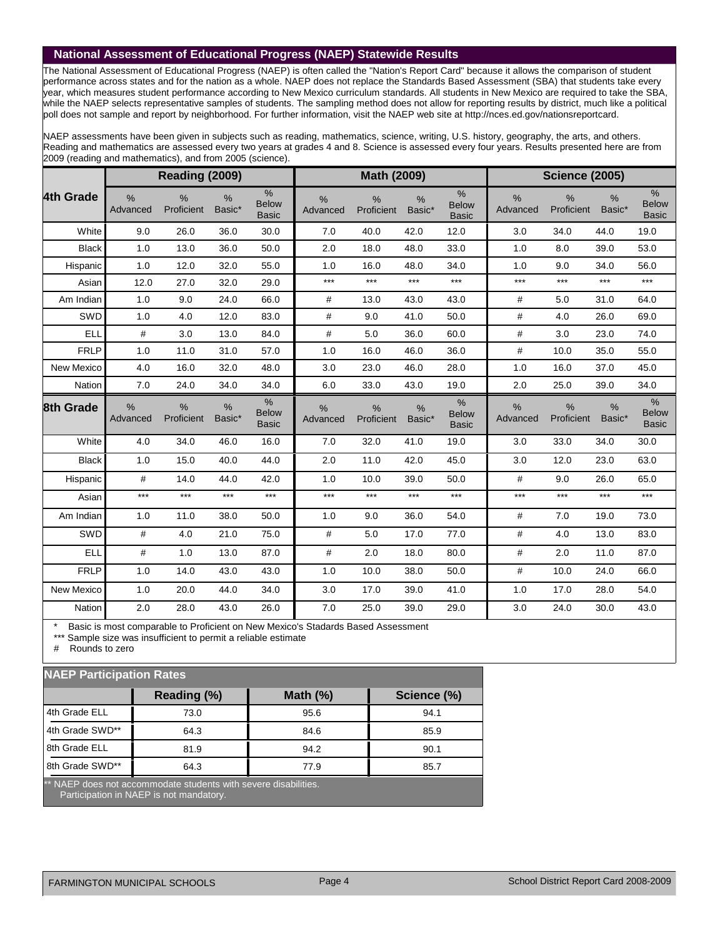### **National Assessment of Educational Progress (NAEP) Statewide Results**

The National Assessment of Educational Progress (NAEP) is often called the "Nation's Report Card" because it allows the comparison of student performance across states and for the nation as a whole. NAEP does not replace the Standards Based Assessment (SBA) that students take every year, which measures student performance according to New Mexico curriculum standards. All students in New Mexico are required to take the SBA, while the NAEP selects representative samples of students. The sampling method does not allow for reporting results by district, much like a political poll does not sample and report by neighborhood. For further information, visit the NAEP web site at http://nces.ed.gov/nationsreportcard.

NAEP assessments have been given in subjects such as reading, mathematics, science, writing, U.S. history, geography, the arts, and others. Reading and mathematics are assessed every two years at grades 4 and 8. Science is assessed every four years. Results presented here are from 2009 (reading and mathematics), and from 2005 (science).

|              |                           | Reading (2009)              |                |                                      |                           | Math (2009)        |                         |                                      |                  | <b>Science (2005)</b>       |                         |                                               |
|--------------|---------------------------|-----------------------------|----------------|--------------------------------------|---------------------------|--------------------|-------------------------|--------------------------------------|------------------|-----------------------------|-------------------------|-----------------------------------------------|
| 4th Grade    | %<br>Advanced             | $\frac{0}{0}$<br>Proficient | $\%$<br>Basic* | $\%$<br><b>Below</b><br><b>Basic</b> | %<br>Advanced             | %<br>Proficient    | %<br>Basic*             | %<br><b>Below</b><br><b>Basic</b>    | $\%$<br>Advanced | $\frac{0}{0}$<br>Proficient | $\frac{9}{6}$<br>Basic* | $\frac{0}{0}$<br><b>Below</b><br><b>Basic</b> |
| White        | 9.0                       | 26.0                        | 36.0           | 30.0                                 | 7.0                       | 40.0               | 42.0                    | 12.0                                 | 3.0              | 34.0                        | 44.0                    | 19.0                                          |
| <b>Black</b> | 1.0                       | 13.0                        | 36.0           | 50.0                                 | 2.0                       | 18.0               | 48.0                    | 33.0                                 | 1.0              | 8.0                         | 39.0                    | 53.0                                          |
| Hispanic     | 1.0                       | 12.0                        | 32.0           | 55.0                                 | 1.0                       | 16.0               | 48.0                    | 34.0                                 | 1.0              | 9.0                         | 34.0                    | 56.0                                          |
| Asian        | 12.0                      | 27.0                        | 32.0           | 29.0                                 | $***$                     | $***$              | $***$                   | $***$                                | ***              | $***$                       | $***$                   | $***$                                         |
| Am Indian    | 1.0                       | 9.0                         | 24.0           | 66.0                                 | #                         | 13.0               | 43.0                    | 43.0                                 | $\#$             | 5.0                         | 31.0                    | 64.0                                          |
| SWD          | 1.0                       | 4.0                         | 12.0           | 83.0                                 | #                         | 9.0                | 41.0                    | 50.0                                 | $\#$             | 4.0                         | 26.0                    | 69.0                                          |
| <b>ELL</b>   | #                         | 3.0                         | 13.0           | 84.0                                 | #                         | 5.0                | 36.0                    | 60.0                                 | #                | 3.0                         | 23.0                    | 74.0                                          |
| <b>FRLP</b>  | 1.0                       | 11.0                        | 31.0           | 57.0                                 | 1.0                       | 16.0               | 46.0                    | 36.0                                 | #                | 10.0                        | 35.0                    | 55.0                                          |
| New Mexico   | 4.0                       | 16.0                        | 32.0           | 48.0                                 | 3.0                       | 23.0               | 46.0                    | 28.0                                 | 1.0              | 16.0                        | 37.0                    | 45.0                                          |
| Nation       | 7.0                       | 24.0                        | 34.0           | 34.0                                 | 6.0                       | 33.0               | 43.0                    | 19.0                                 | 2.0              | 25.0                        | 39.0                    | 34.0                                          |
| 8th Grade    | $\frac{0}{0}$<br>Advanced | $\frac{0}{0}$<br>Proficient | $\%$<br>Basic* | %<br><b>Below</b><br><b>Basic</b>    | $\frac{0}{0}$<br>Advanced | $\%$<br>Proficient | $\frac{0}{0}$<br>Basic* | $\%$<br><b>Below</b><br><b>Basic</b> | $\%$<br>Advanced | $\frac{0}{0}$<br>Proficient | $\frac{9}{6}$<br>Basic* | $\frac{0}{0}$<br><b>Below</b><br><b>Basic</b> |
| White        | 4.0                       | 34.0                        | 46.0           | 16.0                                 | 7.0                       | 32.0               | 41.0                    | 19.0                                 | 3.0              | 33.0                        | 34.0                    | 30.0                                          |
| <b>Black</b> | 1.0                       | 15.0                        | 40.0           | 44.0                                 | 2.0                       | 11.0               | 42.0                    | 45.0                                 | 3.0              | 12.0                        | 23.0                    | 63.0                                          |
| Hispanic     | #                         | 14.0                        | 44.0           | 42.0                                 | 1.0                       | 10.0               | 39.0                    | 50.0                                 | #                | 9.0                         | 26.0                    | 65.0                                          |
| Asian        | $***$                     | $***$                       | $***$          | $***$                                | $***$                     | $***$              | $***$                   | $***$                                | ***              | $***$                       | $***$                   | $***$                                         |
| Am Indian    | 1.0                       |                             |                |                                      |                           |                    |                         |                                      |                  |                             |                         |                                               |
|              |                           | 11.0                        | 38.0           | 50.0                                 | 1.0                       | 9.0                | 36.0                    | 54.0                                 | #                | 7.0                         | 19.0                    | 73.0                                          |
| SWD          | #                         | 4.0                         | 21.0           | 75.0                                 | #                         | 5.0                | 17.0                    | 77.0                                 | #                | 4.0                         | 13.0                    | 83.0                                          |
| <b>ELL</b>   | #                         | 1.0                         | 13.0           | 87.0                                 | #                         | 2.0                | 18.0                    | 80.0                                 | #                | 2.0                         | 11.0                    | 87.0                                          |
| <b>FRLP</b>  | 1.0                       | 14.0                        | 43.0           | 43.0                                 | 1.0                       | 10.0               | 38.0                    | 50.0                                 | $\#$             | 10.0                        | 24.0                    | 66.0                                          |
| New Mexico   | 1.0                       | 20.0                        | 44.0           | 34.0                                 | 3.0                       | 17.0               | 39.0                    | 41.0                                 | 1.0              | 17.0                        | 28.0                    | 54.0                                          |

Basic is most comparable to Proficient on New Mexico's Stadards Based Assessment

\*\*\* Sample size was insufficient to permit a reliable estimate

# Rounds to zero

#### **NAEP Participation Rates**

| الماليات والمالي المالي والمالي والمالي والمواليات المالي والمتوازن والمستحل الماليات |                                                                                                            |             |             |  |  |  |  |  |  |  |  |  |  |
|---------------------------------------------------------------------------------------|------------------------------------------------------------------------------------------------------------|-------------|-------------|--|--|--|--|--|--|--|--|--|--|
|                                                                                       | Reading (%)                                                                                                | Math $(\%)$ | Science (%) |  |  |  |  |  |  |  |  |  |  |
| 4th Grade ELL                                                                         | 73.0                                                                                                       | 95.6        | 94.1        |  |  |  |  |  |  |  |  |  |  |
| 4th Grade SWD**                                                                       | 64.3                                                                                                       | 84.6        | 85.9        |  |  |  |  |  |  |  |  |  |  |
| 8th Grade ELL                                                                         | 81.9                                                                                                       | 94.2        | 90.1        |  |  |  |  |  |  |  |  |  |  |
| 8th Grade SWD**                                                                       | 64.3                                                                                                       | 77.9        | 85.7        |  |  |  |  |  |  |  |  |  |  |
|                                                                                       | ** NAEP does not accommodate students with severe disabilities.<br>Participation in NAEP is not mandatory. |             |             |  |  |  |  |  |  |  |  |  |  |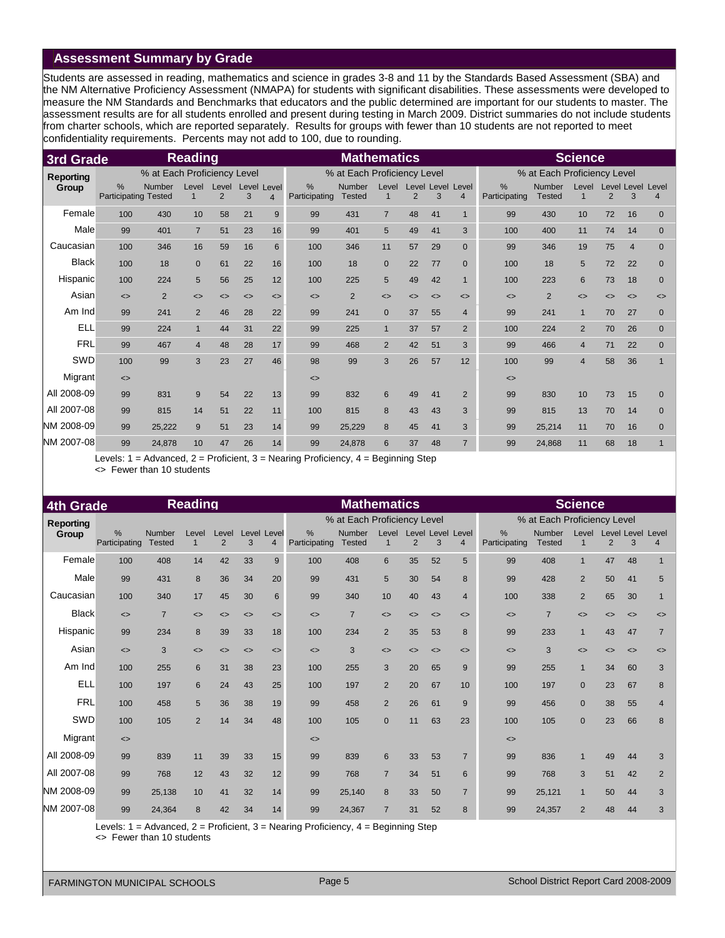### **Assessment Summary by Grade**

Students are assessed in reading, mathematics and science in grades 3-8 and 11 by the Standards Based Assessment (SBA) and the NM Alternative Proficiency Assessment (NMAPA) for students with significant disabilities. These assessments were developed to measure the NM Standards and Benchmarks that educators and the public determined are important for our students to master. The assessment results are for all students enrolled and present during testing in March 2009. District summaries do not include students from charter schools, which are reported separately. Results for groups with fewer than 10 students are not reported to meet confidentiality requirements. Percents may not add to 100, due to rounding.

| <b>Reading</b><br>3rd Grade |                                  |                             |                      |                              |                              |                              | <b>Mathematics</b>           |                             |                       |                              |                              |                                     | <b>Science</b>                 |                                |                       |                              |                               |                              |
|-----------------------------|----------------------------------|-----------------------------|----------------------|------------------------------|------------------------------|------------------------------|------------------------------|-----------------------------|-----------------------|------------------------------|------------------------------|-------------------------------------|--------------------------------|--------------------------------|-----------------------|------------------------------|-------------------------------|------------------------------|
| <b>Reporting</b>            |                                  | % at Each Proficiency Level |                      |                              |                              |                              |                              | % at Each Proficiency Level |                       |                              |                              |                                     |                                | % at Each Proficiency Level    |                       |                              |                               |                              |
| Group                       | %<br><b>Participating Tested</b> | Number                      | Level<br>$\mathbf 1$ | Level<br>$\overline{2}$      | Level Level<br>3             | $\overline{4}$               | %<br>Participating           | Number<br><b>Tested</b>     | Level<br>$\mathbf{1}$ | 2                            | 3                            | Level Level Level<br>$\overline{4}$ | $\frac{0}{0}$<br>Participating | <b>Number</b><br><b>Tested</b> | Level<br>$\mathbf{1}$ | 2                            | <b>Level Level Level</b><br>3 | $\overline{4}$               |
| Female                      | 100                              | 430                         | 10                   | 58                           | 21                           | 9                            | 99                           | 431                         | $\overline{7}$        | 48                           | 41                           | $\mathbf{1}$                        | 99                             | 430                            | 10                    | 72                           | 16                            | $\overline{0}$               |
| Male                        | 99                               | 401                         | $\overline{7}$       | 51                           | 23                           | 16                           | 99                           | 401                         | 5                     | 49                           | 41                           | 3                                   | 100                            | 400                            | 11                    | 74                           | 14                            | $\mathbf 0$                  |
| Caucasian                   | 100                              | 346                         | 16                   | 59                           | 16                           | 6                            | 100                          | 346                         | 11                    | 57                           | 29                           | $\overline{0}$                      | 99                             | 346                            | 19                    | 75                           | $\overline{4}$                | $\overline{0}$               |
| <b>Black</b>                | 100                              | 18                          | $\mathbf{0}$         | 61                           | 22                           | 16                           | 100                          | 18                          | $\mathbf{0}$          | 22                           | 77                           | $\mathbf{0}$                        | 100                            | 18                             | 5                     | 72                           | 22                            | $\overline{0}$               |
| Hispanic                    | 100                              | 224                         | 5                    | 56                           | 25                           | 12                           | 100                          | 225                         | 5                     | 49                           | 42                           | $\mathbf{1}$                        | 100                            | 223                            | 6                     | 73                           | 18                            | $\overline{0}$               |
| Asian                       | $\left\langle \right\rangle$     | $\overline{2}$              | $\leftrightarrow$    | $\left\langle \right\rangle$ | $\left\langle \right\rangle$ | $\left\langle \right\rangle$ | $\left\langle \right\rangle$ | 2                           | $\leftrightarrow$     | $\left\langle \right\rangle$ | $\left\langle \right\rangle$ | $\left\langle \right\rangle$        | $\left\langle \right\rangle$   | 2                              | $\leftrightarrow$     | $\left\langle \right\rangle$ | $\leftrightarrow$             | $\left\langle \right\rangle$ |
| Am Ind                      | 99                               | 241                         | $\overline{2}$       | 46                           | 28                           | 22                           | 99                           | 241                         | $\mathbf{0}$          | 37                           | 55                           | $\overline{4}$                      | 99                             | 241                            | $\mathbf{1}$          | 70                           | 27                            | $\overline{0}$               |
| <b>ELL</b>                  | 99                               | 224                         | $\mathbf{1}$         | 44                           | 31                           | 22                           | 99                           | 225                         | $\mathbf{1}$          | 37                           | 57                           | $\overline{2}$                      | 100                            | 224                            | $\overline{2}$        | 70                           | 26                            | $\overline{0}$               |
| <b>FRL</b>                  | 99                               | 467                         | $\overline{4}$       | 48                           | 28                           | 17                           | 99                           | 468                         | 2                     | 42                           | 51                           | 3                                   | 99                             | 466                            | $\overline{4}$        | 71                           | 22                            | $\overline{0}$               |
| SWD                         | 100                              | 99                          | 3                    | 23                           | 27                           | 46                           | 98                           | 99                          | 3                     | 26                           | 57                           | 12                                  | 100                            | 99                             | $\overline{4}$        | 58                           | 36                            | $\mathbf 1$                  |
| Migrant                     | $\left\langle \right\rangle$     |                             |                      |                              |                              |                              | $\left\langle \right\rangle$ |                             |                       |                              |                              |                                     | $\left\langle \right\rangle$   |                                |                       |                              |                               |                              |
| All 2008-09                 | 99                               | 831                         | 9                    | 54                           | 22                           | 13                           | 99                           | 832                         | 6                     | 49                           | 41                           | $\overline{2}$                      | 99                             | 830                            | 10                    | 73                           | 15                            | $\mathbf 0$                  |
| All 2007-08                 | 99                               | 815                         | 14                   | 51                           | 22                           | 11                           | 100                          | 815                         | 8                     | 43                           | 43                           | 3                                   | 99                             | 815                            | 13                    | 70                           | 14                            | $\mathbf{0}$                 |
| NM 2008-09                  | 99                               | 25,222                      | 9                    | 51                           | 23                           | 14                           | 99                           | 25,229                      | 8                     | 45                           | 41                           | 3                                   | 99                             | 25,214                         | 11                    | 70                           | 16                            | $\mathbf{0}$                 |
| NM 2007-08                  | 99                               | 24,878                      | 10                   | 47                           | 26                           | 14                           | 99                           | 24,878                      | 6                     | 37                           | 48                           | $\overline{7}$                      | 99                             | 24,868                         | 11                    | 68                           | 18                            |                              |

Levels: 1 = Advanced, 2 = Proficient, 3 = Nearing Proficiency, 4 = Beginning Step <> Fewer than 10 students

|                  | <b>Reading</b><br><b>4th Grade</b> |                         |                              |                              |                   |                              |                    | <b>Mathematics</b><br>% at Each Proficiency Level |                              |                              |                              |                                     | <b>Science</b>               |                                |                              |                              |                               |                   |
|------------------|------------------------------------|-------------------------|------------------------------|------------------------------|-------------------|------------------------------|--------------------|---------------------------------------------------|------------------------------|------------------------------|------------------------------|-------------------------------------|------------------------------|--------------------------------|------------------------------|------------------------------|-------------------------------|-------------------|
| <b>Reporting</b> |                                    |                         |                              |                              |                   |                              |                    |                                                   |                              |                              |                              |                                     |                              | % at Each Proficiency Level    |                              |                              |                               |                   |
| Group            | %<br>Participating                 | Number<br><b>Tested</b> | Level<br>$\overline{1}$      | Level<br>$\overline{2}$      | Level<br>3        | Level<br>$\overline{4}$      | %<br>Participating | Number<br><b>Tested</b>                           | Level<br>1                   | 2                            | 3                            | Level Level Level<br>$\overline{4}$ | %<br>Participating           | <b>Number</b><br><b>Tested</b> | Level<br>$\mathbf{1}$        | $\overline{2}$               | <b>Level Level Level</b><br>3 | 4                 |
| Female           | 100                                | 408                     | 14                           | 42                           | 33                | 9                            | 100                | 408                                               | 6                            | 35                           | 52                           | 5                                   | 99                           | 408                            | $\mathbf{1}$                 | 47                           | 48                            | 1                 |
| Male             | 99                                 | 431                     | 8                            | 36                           | 34                | 20                           | 99                 | 431                                               | 5                            | 30                           | 54                           | 8                                   | 99                           | 428                            | 2                            | 50                           | 41                            | 5                 |
| Caucasian        | 100                                | 340                     | 17                           | 45                           | 30                | 6                            | 99                 | 340                                               | 10                           | 40                           | 43                           | $\overline{4}$                      | 100                          | 338                            | 2                            | 65                           | 30                            | $\overline{1}$    |
| <b>Black</b>     | $\leftrightarrow$                  | $\overline{7}$          | $\left\langle \right\rangle$ | $\leftrightarrow$            | $\leftrightarrow$ | $\left\langle \right\rangle$ | $\leftrightarrow$  | $\overline{7}$                                    | $\leftrightarrow$            | $\left\langle \right\rangle$ | $\leftrightarrow$            | $\left\langle \right\rangle$        | $\left\langle \right\rangle$ | $\overline{7}$                 | $\left\langle \right\rangle$ | $\left\langle \right\rangle$ | $\leftrightarrow$             | $\leftrightarrow$ |
| Hispanic         | 99                                 | 234                     | 8                            | 39                           | 33                | 18                           | 100                | 234                                               | 2                            | 35                           | 53                           | 8                                   | 99                           | 233                            | $\mathbf{1}$                 | 43                           | 47                            | $\overline{7}$    |
| Asian            | $\left\langle \right\rangle$       | 3                       | $\left\langle \right\rangle$ | $\left\langle \right\rangle$ | $\leftrightarrow$ | $\leftrightarrow$            | $\leftrightarrow$  | 3                                                 | $\left\langle \right\rangle$ | $\left\langle \right\rangle$ | $\left\langle \right\rangle$ | $\left\langle \right\rangle$        | $\left\langle \right\rangle$ | 3                              | $\left\langle \right\rangle$ | $\left\langle \right\rangle$ | $\leftrightarrow$             | $\leftrightarrow$ |
| Am Ind           | 100                                | 255                     | 6                            | 31                           | 38                | 23                           | 100                | 255                                               | 3                            | 20                           | 65                           | 9                                   | 99                           | 255                            | $\mathbf{1}$                 | 34                           | 60                            | 3                 |
| <b>ELL</b>       | 100                                | 197                     | 6                            | 24                           | 43                | 25                           | 100                | 197                                               | $\overline{2}$               | 20                           | 67                           | 10                                  | 100                          | 197                            | $\mathbf{0}$                 | 23                           | 67                            | 8                 |
| <b>FRL</b>       | 100                                | 458                     | 5                            | 36                           | 38                | 19                           | 99                 | 458                                               | $\overline{2}$               | 26                           | 61                           | 9                                   | 99                           | 456                            | $\mathbf 0$                  | 38                           | 55                            | $\overline{4}$    |
| SWD              | 100                                | 105                     | $\overline{2}$               | 14                           | 34                | 48                           | 100                | 105                                               | $\overline{0}$               | 11                           | 63                           | 23                                  | 100                          | 105                            | $\mathbf{0}$                 | 23                           | 66                            | 8                 |
| Migrant          | $\left\langle \right\rangle$       |                         |                              |                              |                   |                              | $\leftrightarrow$  |                                                   |                              |                              |                              |                                     | $\left\langle \right\rangle$ |                                |                              |                              |                               |                   |
| All 2008-09      | 99                                 | 839                     | 11                           | 39                           | 33                | 15                           | 99                 | 839                                               | 6                            | 33                           | 53                           | $\overline{7}$                      | 99                           | 836                            | $\mathbf{1}$                 | 49                           | 44                            | 3                 |
| All 2007-08      | 99                                 | 768                     | 12                           | 43                           | 32                | 12                           | 99                 | 768                                               | $\overline{7}$               | 34                           | 51                           | 6                                   | 99                           | 768                            | 3                            | 51                           | 42                            | $\overline{2}$    |
| NM 2008-09       | 99                                 | 25,138                  | 10                           | 41                           | 32                | 14                           | 99                 | 25,140                                            | 8                            | 33                           | 50                           | $\overline{7}$                      | 99                           | 25,121                         | $\mathbf{1}$                 | 50                           | 44                            | 3                 |
| NM 2007-08       | 99                                 | 24,364                  | 8                            | 42                           | 34                | 14                           | 99                 | 24,367                                            | $\overline{7}$               | 31                           | 52                           | 8                                   | 99                           | 24,357                         | $\overline{2}$               | 48                           | 44                            | 3                 |

Levels: 1 = Advanced, 2 = Proficient, 3 = Nearing Proficiency, 4 = Beginning Step

<> Fewer than 10 students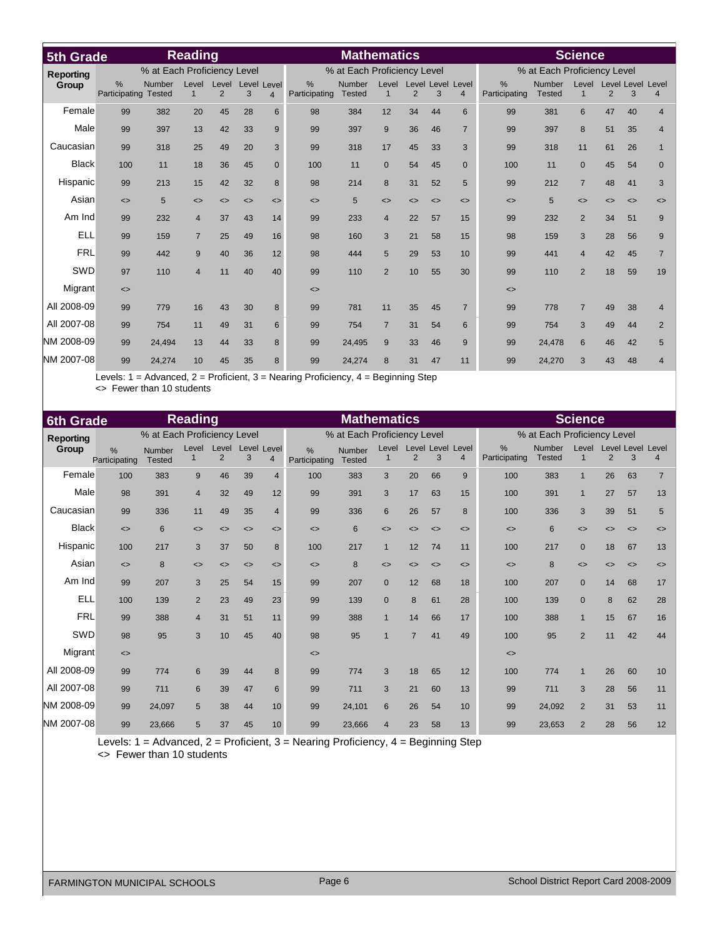|                  | <b>Reading</b><br><b>5th Grade</b><br>% at Each Proficiency Level |                         |                       |                              |                              |                              |                              | <b>Mathematics</b>             |                       | <b>Science</b>               |                              |                              |                                |                             |                       |                              |                               |                              |
|------------------|-------------------------------------------------------------------|-------------------------|-----------------------|------------------------------|------------------------------|------------------------------|------------------------------|--------------------------------|-----------------------|------------------------------|------------------------------|------------------------------|--------------------------------|-----------------------------|-----------------------|------------------------------|-------------------------------|------------------------------|
| <b>Reporting</b> |                                                                   |                         |                       |                              |                              |                              |                              | % at Each Proficiency Level    |                       |                              |                              |                              |                                | % at Each Proficiency Level |                       |                              |                               |                              |
| Group            | $\%$<br>Participating                                             | Number<br><b>Tested</b> | Level<br>$\mathbf{1}$ | Level<br>$\overline{2}$      | Level Level<br>3             | $\overline{4}$               | $\%$<br>Participating        | <b>Number</b><br><b>Tested</b> | Level<br>$\mathbf{1}$ | 2                            | 3                            | Level Level Level<br>4       | $\frac{0}{0}$<br>Participating | Number<br><b>Tested</b>     | Level<br>$\mathbf{1}$ | $\overline{2}$               | <b>Level Level Level</b><br>3 | $\overline{4}$               |
| Female           | 99                                                                | 382                     | 20                    | 45                           | 28                           | 6                            | 98                           | 384                            | 12                    | 34                           | 44                           | 6                            | 99                             | 381                         | 6                     | 47                           | 40                            | $\overline{4}$               |
| Male             | 99                                                                | 397                     | 13                    | 42                           | 33                           | 9                            | 99                           | 397                            | 9                     | 36                           | 46                           | $\overline{7}$               | 99                             | 397                         | 8                     | 51                           | 35                            | $\overline{4}$               |
| Caucasian        | 99                                                                | 318                     | 25                    | 49                           | 20                           | 3                            | 99                           | 318                            | 17                    | 45                           | 33                           | 3                            | 99                             | 318                         | 11                    | 61                           | 26                            | $\overline{1}$               |
| <b>Black</b>     | 100                                                               | 11                      | 18                    | 36                           | 45                           | $\mathbf{0}$                 | 100                          | 11                             | $\mathbf{0}$          | 54                           | 45                           | $\mathbf{0}$                 | 100                            | 11                          | $\mathbf{0}$          | 45                           | 54                            | $\mathbf 0$                  |
| Hispanic         | 99                                                                | 213                     | 15                    | 42                           | 32                           | 8                            | 98                           | 214                            | 8                     | 31                           | 52                           | 5                            | 99                             | 212                         | $\overline{7}$        | 48                           | 41                            | 3                            |
| Asian            | $\leq$                                                            | 5                       | $\leftrightarrow$     | $\left\langle \right\rangle$ | $\left\langle \right\rangle$ | $\left\langle \right\rangle$ | $\left\langle \right\rangle$ | 5                              | $\leftrightarrow$     | $\left\langle \right\rangle$ | $\left\langle \right\rangle$ | $\left\langle \right\rangle$ | $\left\langle \right\rangle$   | 5                           | $\leftrightarrow$     | $\left\langle \right\rangle$ | $\leftrightarrow$             | $\left\langle \right\rangle$ |
| Am Ind           | 99                                                                | 232                     | $\overline{4}$        | 37                           | 43                           | 14                           | 99                           | 233                            | $\overline{4}$        | 22                           | 57                           | 15                           | 99                             | 232                         | 2                     | 34                           | 51                            | 9                            |
| <b>ELL</b>       | 99                                                                | 159                     | $\overline{7}$        | 25                           | 49                           | 16                           | 98                           | 160                            | 3                     | 21                           | 58                           | 15                           | 98                             | 159                         | 3                     | 28                           | 56                            | 9                            |
| <b>FRL</b>       | 99                                                                | 442                     | 9                     | 40                           | 36                           | 12                           | 98                           | 444                            | 5                     | 29                           | 53                           | 10                           | 99                             | 441                         | $\overline{4}$        | 42                           | 45                            | $\overline{7}$               |
| SWD              | 97                                                                | 110                     | $\overline{4}$        | 11                           | 40                           | 40                           | 99                           | 110                            | 2                     | 10                           | 55                           | 30                           | 99                             | 110                         | 2                     | 18                           | 59                            | 19                           |
| <b>Migrant</b>   | $\leq$                                                            |                         |                       |                              |                              |                              | $\left\langle \right\rangle$ |                                |                       |                              |                              |                              | $\leq$                         |                             |                       |                              |                               |                              |
| All 2008-09      | 99                                                                | 779                     | 16                    | 43                           | 30                           | 8                            | 99                           | 781                            | 11                    | 35                           | 45                           | $\overline{7}$               | 99                             | 778                         | $\overline{7}$        | 49                           | 38                            | $\overline{4}$               |
| All 2007-08      | 99                                                                | 754                     | 11                    | 49                           | 31                           | 6                            | 99                           | 754                            | $\overline{7}$        | 31                           | 54                           | 6                            | 99                             | 754                         | 3                     | 49                           | 44                            | $\overline{2}$               |
| NM 2008-09       | 99                                                                | 24,494                  | 13                    | 44                           | 33                           | 8                            | 99                           | 24,495                         | 9                     | 33                           | 46                           | 9                            | 99                             | 24,478                      | 6                     | 46                           | 42                            | 5                            |
| NM 2007-08       | 99                                                                | 24,274                  | 10                    | 45                           | 35                           | 8                            | 99                           | 24,274                         | 8                     | 31                           | 47                           | 11                           | 99                             | 24,270                      | 3                     | 43                           | 48                            | $\overline{4}$               |

Levels: 1 = Advanced, 2 = Proficient, 3 = Nearing Proficiency, 4 = Beginning Step <> Fewer than 10 students

| <b>Reading</b><br><b>6th Grade</b><br>% at Each Proficiency Level |                                |                         |                       |                              |                              |                              |                              | <b>Mathematics</b>          |                       | <b>Science</b>               |                              |                                     |                              |                             |                              |                              |                        |                              |
|-------------------------------------------------------------------|--------------------------------|-------------------------|-----------------------|------------------------------|------------------------------|------------------------------|------------------------------|-----------------------------|-----------------------|------------------------------|------------------------------|-------------------------------------|------------------------------|-----------------------------|------------------------------|------------------------------|------------------------|------------------------------|
| <b>Reporting</b>                                                  |                                |                         |                       |                              |                              |                              |                              | % at Each Proficiency Level |                       |                              |                              |                                     |                              | % at Each Proficiency Level |                              |                              |                        |                              |
| Group                                                             | $\frac{0}{0}$<br>Participating | Number<br><b>Tested</b> | Level<br>$\mathbf{1}$ | Level<br>$\overline{2}$      | Level Level<br>3             | $\overline{4}$               | %<br>Participating           | Number<br><b>Tested</b>     | Level<br>$\mathbf{1}$ | $\overline{2}$               | 3                            | Level Level Level<br>$\overline{4}$ | %<br>Participating           | Number<br><b>Tested</b>     | Level<br>$\mathbf 1$         | $\overline{2}$               | Level Level Level<br>3 | $\overline{4}$               |
| Female                                                            | 100                            | 383                     | 9                     | 46                           | 39                           | $\overline{4}$               | 100                          | 383                         | 3                     | 20                           | 66                           | 9                                   | 100                          | 383                         | $\mathbf{1}$                 | 26                           | 63                     | $\overline{7}$               |
| Male                                                              | 98                             | 391                     | $\overline{4}$        | 32                           | 49                           | 12                           | 99                           | 391                         | 3                     | 17                           | 63                           | 15                                  | 100                          | 391                         | $\mathbf{1}$                 | 27                           | 57                     | 13                           |
| Caucasian                                                         | 99                             | 336                     | 11                    | 49                           | 35                           | $\overline{4}$               | 99                           | 336                         | 6                     | 26                           | 57                           | 8                                   | 100                          | 336                         | 3                            | 39                           | 51                     | 5                            |
| <b>Black</b>                                                      | $\left\langle \right\rangle$   | 6                       | $\leftrightarrow$     | <>                           | $\left\langle \right\rangle$ | $\left\langle \right\rangle$ | $\left\langle \right\rangle$ | 6                           | <>                    | $\left\langle \right\rangle$ | $\left\langle \right\rangle$ | $\left\langle \right\rangle$        | $\left\langle \right\rangle$ | $6\phantom{1}6$             | $\left\langle \right\rangle$ | $\left\langle \right\rangle$ | $\leftrightarrow$      | $\left\langle \right\rangle$ |
| Hispanic                                                          | 100                            | 217                     | 3                     | 37                           | 50                           | 8                            | 100                          | 217                         | $\mathbf{1}$          | 12                           | 74                           | 11                                  | 100                          | 217                         | $\mathbf 0$                  | 18                           | 67                     | 13                           |
| Asian                                                             | $\left\langle \right\rangle$   | 8                       | $\leftrightarrow$     | $\left\langle \right\rangle$ | $\left\langle \right\rangle$ | $\left\langle \right\rangle$ | $\left\langle \right\rangle$ | 8                           | $\leftrightarrow$     | $\left\langle \right\rangle$ | $\left\langle \right\rangle$ | $\left\langle \right\rangle$        | $\left\langle \right\rangle$ | 8                           | $\left\langle \right\rangle$ | $\left\langle \right\rangle$ | $\leftrightarrow$      | $\leftrightarrow$            |
| Am Ind                                                            | 99                             | 207                     | 3                     | 25                           | 54                           | 15                           | 99                           | 207                         | $\Omega$              | 12                           | 68                           | 18                                  | 100                          | 207                         | $\mathbf{0}$                 | 14                           | 68                     | 17                           |
| <b>ELL</b>                                                        | 100                            | 139                     | 2                     | 23                           | 49                           | 23                           | 99                           | 139                         | $\Omega$              | 8                            | 61                           | 28                                  | 100                          | 139                         | $\mathbf{0}$                 | 8                            | 62                     | 28                           |
| <b>FRL</b>                                                        | 99                             | 388                     | $\overline{4}$        | 31                           | 51                           | 11                           | 99                           | 388                         | $\overline{1}$        | 14                           | 66                           | 17                                  | 100                          | 388                         | $\mathbf{1}$                 | 15                           | 67                     | 16                           |
| SWD                                                               | 98                             | 95                      | 3                     | 10                           | 45                           | 40                           | 98                           | 95                          | $\overline{1}$        | $\overline{7}$               | 41                           | 49                                  | 100                          | 95                          | $\overline{2}$               | 11                           | 42                     | 44                           |
| <b>Migrant</b>                                                    | $\left\langle \right\rangle$   |                         |                       |                              |                              |                              | $\left\langle \right\rangle$ |                             |                       |                              |                              |                                     | $\left\langle \right\rangle$ |                             |                              |                              |                        |                              |
| All 2008-09                                                       | 99                             | 774                     | 6                     | 39                           | 44                           | 8                            | 99                           | 774                         | 3                     | 18                           | 65                           | 12                                  | 100                          | 774                         | $\mathbf{1}$                 | 26                           | 60                     | 10                           |
| All 2007-08                                                       | 99                             | 711                     | 6                     | 39                           | 47                           | 6                            | 99                           | 711                         | 3                     | 21                           | 60                           | 13                                  | 99                           | 711                         | 3                            | 28                           | 56                     | 11                           |
| NM 2008-09                                                        | 99                             | 24.097                  | 5                     | 38                           | 44                           | 10 <sup>°</sup>              | 99                           | 24,101                      | 6                     | 26                           | 54                           | 10                                  | 99                           | 24,092                      | $\overline{2}$               | 31                           | 53                     | 11                           |
| NM 2007-08                                                        | 99                             | 23.666                  | 5                     | 37                           | 45                           | 10 <sup>°</sup>              | 99                           | 23,666                      | $\overline{4}$        | 23                           | 58                           | 13                                  | 99                           | 23,653                      | $\overline{2}$               | 28                           | 56                     | 12                           |

Levels: 1 = Advanced, 2 = Proficient, 3 = Nearing Proficiency, 4 = Beginning Step <> Fewer than 10 students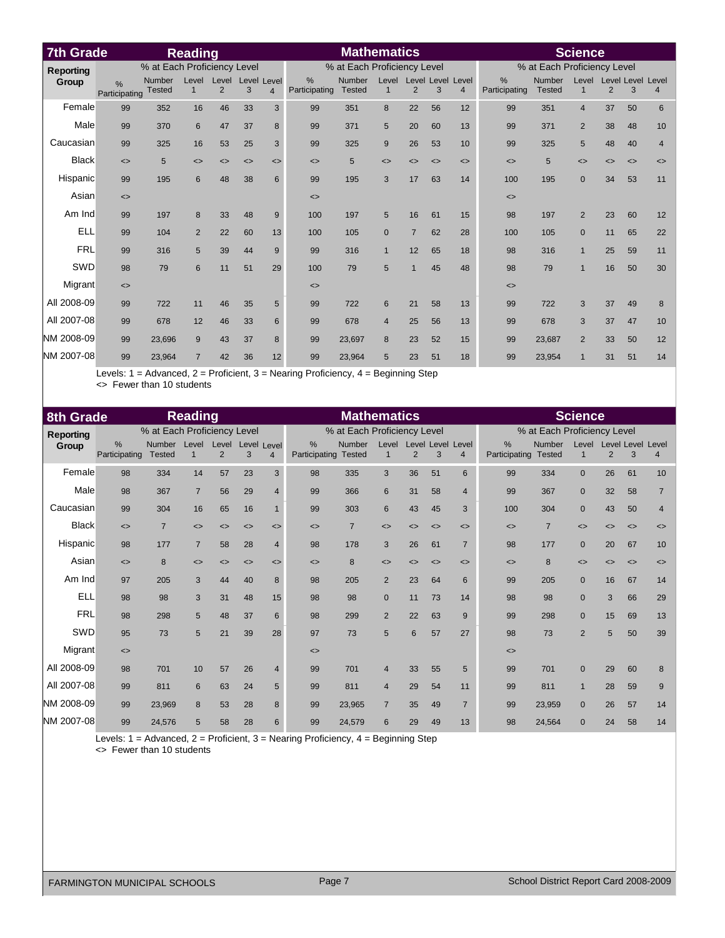|                  | <b>7th Grade</b><br><b>Reading</b> |                             |                       |                         |                   |                              | <b>Mathematics</b>           |                             |                       |                   |                   |                                     |                                | <b>Science</b>                 |                       |                   |                               |                              |
|------------------|------------------------------------|-----------------------------|-----------------------|-------------------------|-------------------|------------------------------|------------------------------|-----------------------------|-----------------------|-------------------|-------------------|-------------------------------------|--------------------------------|--------------------------------|-----------------------|-------------------|-------------------------------|------------------------------|
| <b>Reporting</b> |                                    | % at Each Proficiency Level |                       |                         |                   |                              |                              | % at Each Proficiency Level |                       |                   |                   |                                     |                                | % at Each Proficiency Level    |                       |                   |                               |                              |
| Group            | $\frac{9}{6}$<br>Participating     | Number<br><b>Tested</b>     | Level<br>$\mathbf{1}$ | Level<br>$\overline{2}$ | Level Level<br>3  | $\overline{4}$               | %<br>Participating           | Number<br><b>Tested</b>     | Level<br>$\mathbf{1}$ | 2                 | 3                 | Level Level Level<br>$\overline{4}$ | $\frac{0}{0}$<br>Participating | <b>Number</b><br><b>Tested</b> | Level<br>$\mathbf{1}$ | 2                 | <b>Level Level Level</b><br>3 | $\overline{4}$               |
| Female           | 99                                 | 352                         | 16                    | 46                      | 33                | 3                            | 99                           | 351                         | 8                     | 22                | 56                | 12                                  | 99                             | 351                            | $\overline{4}$        | 37                | 50                            | $6\phantom{1}6$              |
| Male             | 99                                 | 370                         | 6                     | 47                      | 37                | 8                            | 99                           | 371                         | 5                     | 20                | 60                | 13                                  | 99                             | 371                            | $\overline{2}$        | 38                | 48                            | 10                           |
| Caucasian        | 99                                 | 325                         | 16                    | 53                      | 25                | 3                            | 99                           | 325                         | 9                     | 26                | 53                | 10                                  | 99                             | 325                            | 5                     | 48                | 40                            | $\overline{4}$               |
| <b>Black</b>     | $\left\langle \right\rangle$       | 5                           | $\leftrightarrow$     | $\leftrightarrow$       | $\leftrightarrow$ | $\left\langle \right\rangle$ | $\left\langle \right\rangle$ | 5                           | $\leftrightarrow$     | $\leftrightarrow$ | $\leftrightarrow$ | $\left\langle \right\rangle$        | $\left\langle \right\rangle$   | 5                              | $\leftrightarrow$     | $\leftrightarrow$ | $\leftrightarrow$             | $\left\langle \right\rangle$ |
| Hispanic         | 99                                 | 195                         | 6                     | 48                      | 38                | 6                            | 99                           | 195                         | 3                     | 17                | 63                | 14                                  | 100                            | 195                            | $\mathbf 0$           | 34                | 53                            | 11                           |
| Asian            | $\leq$                             |                             |                       |                         |                   |                              | $\left\langle \right\rangle$ |                             |                       |                   |                   |                                     | $\left\langle \right\rangle$   |                                |                       |                   |                               |                              |
| Am Ind           | 99                                 | 197                         | 8                     | 33                      | 48                | 9                            | 100                          | 197                         | 5                     | 16                | 61                | 15                                  | 98                             | 197                            | $\overline{2}$        | 23                | 60                            | 12                           |
| <b>ELL</b>       | 99                                 | 104                         | $\overline{2}$        | 22                      | 60                | 13                           | 100                          | 105                         | $\mathbf{0}$          | $\overline{7}$    | 62                | 28                                  | 100                            | 105                            | $\mathbf{0}$          | 11                | 65                            | 22                           |
| <b>FRL</b>       | 99                                 | 316                         | 5                     | 39                      | 44                | 9                            | 99                           | 316                         | $\mathbf{1}$          | 12                | 65                | 18                                  | 98                             | 316                            | $\mathbf{1}$          | 25                | 59                            | 11                           |
| SWD              | 98                                 | 79                          | 6                     | 11                      | 51                | 29                           | 100                          | 79                          | 5                     | $\overline{1}$    | 45                | 48                                  | 98                             | 79                             | $\overline{1}$        | 16                | 50                            | 30                           |
| Migrant          | $\left\langle \right\rangle$       |                             |                       |                         |                   |                              | $\left\langle \right\rangle$ |                             |                       |                   |                   |                                     | $\left\langle \right\rangle$   |                                |                       |                   |                               |                              |
| All 2008-09      | 99                                 | 722                         | 11                    | 46                      | 35                | 5                            | 99                           | 722                         | 6                     | 21                | 58                | 13                                  | 99                             | 722                            | 3                     | 37                | 49                            | 8                            |
| All 2007-08      | 99                                 | 678                         | 12                    | 46                      | 33                | 6                            | 99                           | 678                         | $\overline{4}$        | 25                | 56                | 13                                  | 99                             | 678                            | 3                     | 37                | 47                            | 10                           |
| NM 2008-09       | 99                                 | 23,696                      | 9                     | 43                      | 37                | 8                            | 99                           | 23,697                      | 8                     | 23                | 52                | 15                                  | 99                             | 23,687                         | $\overline{2}$        | 33                | 50                            | 12                           |
| NM 2007-08       | 99                                 | 23,964                      | $\overline{7}$        | 42                      | 36                | 12                           | 99                           | 23,964                      | 5                     | 23                | 51                | 18                                  | 99                             | 23,954                         | $\overline{1}$        | 31                | 51                            | 14                           |

Levels: 1 = Advanced, 2 = Proficient, 3 = Nearing Proficiency, 4 = Beginning Step <> Fewer than 10 students

| <b>Reading</b><br>8th Grade |                              |                                |                              |                              |                              |                              | <b>Mathematics</b>           |                             |                              |                              |                   |                              |                              | <b>Science</b>              |                              |                              |                               |                              |
|-----------------------------|------------------------------|--------------------------------|------------------------------|------------------------------|------------------------------|------------------------------|------------------------------|-----------------------------|------------------------------|------------------------------|-------------------|------------------------------|------------------------------|-----------------------------|------------------------------|------------------------------|-------------------------------|------------------------------|
| <b>Reporting</b>            |                              | % at Each Proficiency Level    |                              |                              |                              |                              |                              | % at Each Proficiency Level |                              |                              |                   |                              |                              | % at Each Proficiency Level |                              |                              |                               |                              |
| Group                       | %<br>Participating           | <b>Number</b><br><b>Tested</b> | Level<br>$\mathbf{1}$        | Level<br>$\overline{2}$      | Level Level<br>3             | $\overline{4}$               | %<br>Participating           | Number<br><b>Tested</b>     | Level<br>$\mathbf{1}$        | $\overline{2}$               | 3                 | Level Level Level<br>4       | %<br>Participating           | Number<br><b>Tested</b>     | Level<br>$\mathbf{1}$        | 2                            | <b>Level Level Level</b><br>3 | 4                            |
| Female                      | 98                           | 334                            | 14                           | 57                           | 23                           | 3                            | 98                           | 335                         | 3                            | 36                           | 51                | 6                            | 99                           | 334                         | $\overline{0}$               | 26                           | 61                            | 10                           |
| Male                        | 98                           | 367                            | $\overline{7}$               | 56                           | 29                           | $\overline{4}$               | 99                           | 366                         | 6                            | 31                           | 58                | $\overline{4}$               | 99                           | 367                         | $\mathbf 0$                  | 32                           | 58                            | $\overline{7}$               |
| Caucasian                   | 99                           | 304                            | 16                           | 65                           | 16                           |                              | 99                           | 303                         | 6                            | 43                           | 45                | 3                            | 100                          | 304                         | $\mathbf 0$                  | 43                           | 50                            | $\overline{4}$               |
| <b>Black</b>                | $\left\langle \right\rangle$ | $\overline{7}$                 | $\left\langle \right\rangle$ | $\left\langle \right\rangle$ | $\left\langle \right\rangle$ | $\left\langle \right\rangle$ | $\left\langle \right\rangle$ | $\overline{7}$              | $\left\langle \right\rangle$ | $\left\langle \right\rangle$ | $\leftrightarrow$ | $\left\langle \right\rangle$ | $\left\langle \right\rangle$ | $\overline{7}$              | $\left\langle \right\rangle$ | $\left\langle \right\rangle$ | $\left\langle \right\rangle$  | $\left\langle \right\rangle$ |
| Hispanic                    | 98                           | 177                            | $\overline{7}$               | 58                           | 28                           | $\overline{4}$               | 98                           | 178                         | 3                            | 26                           | 61                | $\overline{7}$               | 98                           | 177                         | $\mathbf{0}$                 | 20                           | 67                            | 10                           |
| Asian                       | $\leftrightarrow$            | 8                              | $\left\langle \right\rangle$ | <>                           | $\left\langle \right\rangle$ | $\leftrightarrow$            | $\left\langle \right\rangle$ | 8                           | $\leftrightarrow$            | <>                           | $\leftrightarrow$ | $\leftrightarrow$            | $\leq$                       | 8                           | $\left\langle \right\rangle$ | <>                           | $\left\langle \right\rangle$  | $\left\langle \right\rangle$ |
| Am Ind                      | 97                           | 205                            | 3                            | 44                           | 40                           | 8                            | 98                           | 205                         | $\overline{2}$               | 23                           | 64                | $6\phantom{1}$               | 99                           | 205                         | $\mathbf 0$                  | 16                           | 67                            | 14                           |
| <b>ELL</b>                  | 98                           | 98                             | 3                            | 31                           | 48                           | 15                           | 98                           | 98                          | $\mathbf{0}$                 | 11                           | 73                | 14                           | 98                           | 98                          | $\mathbf 0$                  | 3                            | 66                            | 29                           |
| <b>FRL</b>                  | 98                           | 298                            | 5                            | 48                           | 37                           | 6                            | 98                           | 299                         | $\overline{2}$               | 22                           | 63                | 9                            | 99                           | 298                         | $\mathbf{0}$                 | 15                           | 69                            | 13                           |
| SWD                         | 95                           | 73                             | 5                            | 21                           | 39                           | 28                           | 97                           | 73                          | 5                            | 6                            | 57                | 27                           | 98                           | 73                          | $\overline{2}$               | 5                            | 50                            | 39                           |
| Migrant                     | $\leftrightarrow$            |                                |                              |                              |                              |                              | $\left\langle \right\rangle$ |                             |                              |                              |                   |                              | $\left\langle \right\rangle$ |                             |                              |                              |                               |                              |
| All 2008-09                 | 98                           | 701                            | 10                           | 57                           | 26                           | $\overline{4}$               | 99                           | 701                         | $\overline{4}$               | 33                           | 55                | 5                            | 99                           | 701                         | $\mathbf 0$                  | 29                           | 60                            | 8                            |
| All 2007-08                 | 99                           | 811                            | 6                            | 63                           | 24                           | 5                            | 99                           | 811                         | $\overline{4}$               | 29                           | 54                | 11                           | 99                           | 811                         | $\mathbf{1}$                 | 28                           | 59                            | 9                            |
| NM 2008-09                  | 99                           | 23,969                         | 8                            | 53                           | 28                           | 8                            | 99                           | 23,965                      | $\overline{7}$               | 35                           | 49                | $\overline{7}$               | 99                           | 23,959                      | $\mathbf{0}$                 | 26                           | 57                            | 14                           |
| NM 2007-08                  | 99                           | 24,576                         | 5                            | 58                           | 28                           | 6                            | 99                           | 24,579                      | 6                            | 29                           | 49                | 13                           | 98                           | 24,564                      | $\mathbf{0}$                 | 24                           | 58                            | 14                           |

Levels: 1 = Advanced, 2 = Proficient, 3 = Nearing Proficiency, 4 = Beginning Step <> Fewer than 10 students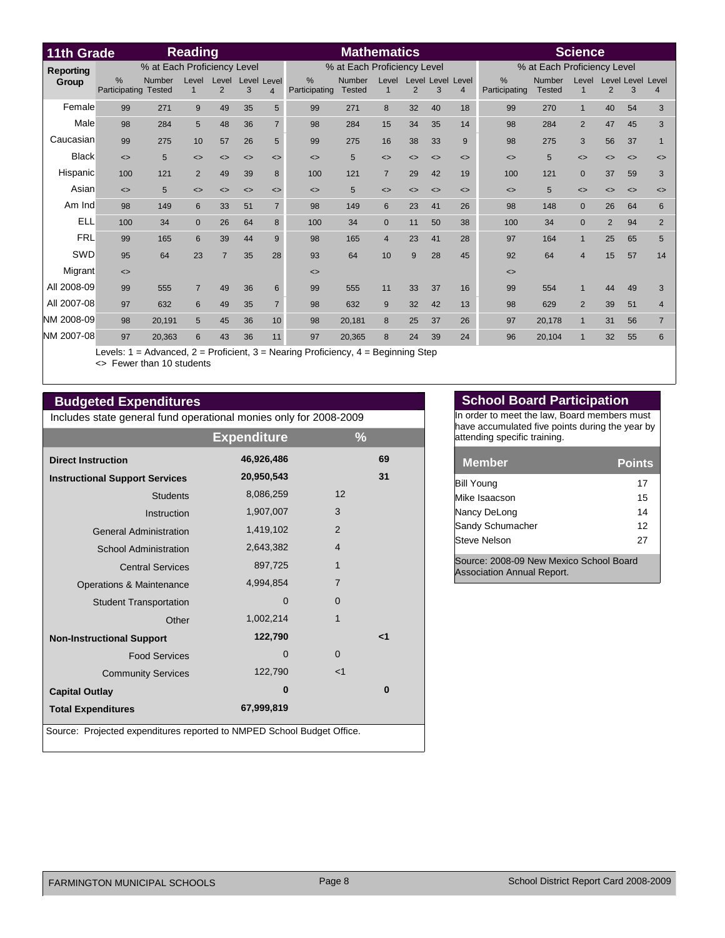| <b>Reading</b><br>11th Grade |                    |                                |                      |                         |                              |                              | <b>Mathematics</b>           |                             |                   |                   |                   |                                     |                              | <b>Science</b>              |                              |                              |                               |                              |
|------------------------------|--------------------|--------------------------------|----------------------|-------------------------|------------------------------|------------------------------|------------------------------|-----------------------------|-------------------|-------------------|-------------------|-------------------------------------|------------------------------|-----------------------------|------------------------------|------------------------------|-------------------------------|------------------------------|
| <b>Reporting</b>             |                    | % at Each Proficiency Level    |                      |                         |                              |                              |                              | % at Each Proficiency Level |                   |                   |                   |                                     |                              | % at Each Proficiency Level |                              |                              |                               |                              |
| Group                        | %<br>Participating | <b>Number</b><br><b>Tested</b> | Level<br>$\mathbf 1$ | Level<br>$\overline{2}$ | Level<br>3                   | Level<br>$\overline{4}$      | %<br>Participating           | Number<br><b>Tested</b>     | Level             | $\overline{2}$    | 3                 | Level Level Level<br>$\overline{4}$ | %<br>Participating           | Number<br><b>Tested</b>     | Level<br>$\mathbf 1$         | $\overline{2}$               | <b>Level Level Level</b><br>3 | 4                            |
| Female                       | 99                 | 271                            | 9                    | 49                      | 35                           | 5                            | 99                           | 271                         | 8                 | 32                | 40                | 18                                  | 99                           | 270                         | $\mathbf{1}$                 | 40                           | 54                            | 3                            |
| Male                         | 98                 | 284                            | 5                    | 48                      | 36                           | $\overline{7}$               | 98                           | 284                         | 15                | 34                | 35                | 14                                  | 98                           | 284                         | 2                            | 47                           | 45                            | 3                            |
| Caucasian                    | 99                 | 275                            | 10                   | 57                      | 26                           | 5                            | 99                           | 275                         | 16                | 38                | 33                | 9                                   | 98                           | 275                         | 3                            | 56                           | 37                            | $\overline{1}$               |
| <b>Black</b>                 | $\leftrightarrow$  | 5                              | $\leftrightarrow$    | <>                      | <>                           | $\left\langle \right\rangle$ | $\left\langle \right\rangle$ | 5                           | $\leftrightarrow$ | $\leftrightarrow$ | $\leftrightarrow$ | $\left\langle \right\rangle$        | $\left\langle \right\rangle$ | 5                           | $\left\langle \right\rangle$ | $\left\langle \right\rangle$ | $\left\langle \right\rangle$  | $\left\langle \right\rangle$ |
| <b>Hispanic</b>              | 100                | 121                            | 2                    | 49                      | 39                           | 8                            | 100                          | 121                         | $\overline{7}$    | 29                | 42                | 19                                  | 100                          | 121                         | $\mathbf{0}$                 | 37                           | 59                            | 3                            |
| Asian                        | $\leftrightarrow$  | 5                              | $\leftrightarrow$    | $\leftrightarrow$       | $\left\langle \right\rangle$ | $\left\langle \right\rangle$ | $\left\langle \right\rangle$ | 5                           | $\leftrightarrow$ | <>                | $\leftrightarrow$ | $\left\langle \right\rangle$        | $\leq$                       | 5                           | $\leftrightarrow$            | $\leftrightarrow$            | $\leftrightarrow$             | $\left\langle \right\rangle$ |
| Am Ind                       | 98                 | 149                            | 6                    | 33                      | 51                           | $\overline{7}$               | 98                           | 149                         | 6                 | 23                | 41                | 26                                  | 98                           | 148                         | $\mathbf{0}$                 | 26                           | 64                            | 6                            |
| <b>ELL</b>                   | 100                | 34                             | $\mathbf{0}$         | 26                      | 64                           | 8                            | 100                          | 34                          | $\Omega$          | 11                | 50                | 38                                  | 100                          | 34                          | $\mathbf{0}$                 | $\overline{2}$               | 94                            | $\overline{2}$               |
| <b>FRL</b>                   | 99                 | 165                            | 6                    | 39                      | 44                           | 9                            | 98                           | 165                         | $\overline{4}$    | 23                | 41                | 28                                  | 97                           | 164                         | $\mathbf{1}$                 | 25                           | 65                            | 5                            |
| SWD                          | 95                 | 64                             | 23                   | 7                       | 35                           | 28                           | 93                           | 64                          | 10                | 9                 | 28                | 45                                  | 92                           | 64                          | $\overline{4}$               | 15                           | 57                            | 14                           |
| Migrant                      | $\leftrightarrow$  |                                |                      |                         |                              |                              | $\left\langle \right\rangle$ |                             |                   |                   |                   |                                     | $\leftrightarrow$            |                             |                              |                              |                               |                              |
| All 2008-09                  | 99                 | 555                            | $\overline{7}$       | 49                      | 36                           | 6                            | 99                           | 555                         | 11                | 33                | 37                | 16                                  | 99                           | 554                         | $\overline{1}$               | 44                           | 49                            | 3                            |
| All 2007-08                  | 97                 | 632                            | 6                    | 49                      | 35                           | $\overline{7}$               | 98                           | 632                         | 9                 | 32                | 42                | 13                                  | 98                           | 629                         | 2                            | 39                           | 51                            | $\overline{4}$               |
| NM 2008-09                   | 98                 | 20,191                         | 5                    | 45                      | 36                           | 10                           | 98                           | 20,181                      | 8                 | 25                | 37                | 26                                  | 97                           | 20,178                      | $\overline{1}$               | 31                           | 56                            | $\overline{7}$               |
| NM 2007-08                   | 97                 | 20,363                         | 6                    | 43                      | 36                           | 11                           | 97                           | 20,365                      | 8                 | 24                | 39                | 24                                  | 96                           | 20,104                      | $\mathbf 1$                  | 32                           | 55                            | 6                            |

Levels: 1 = Advanced, 2 = Proficient, 3 = Nearing Proficiency, 4 = Beginning Step <> Fewer than 10 students

## **Budgeted Expenditures**

Includes state general fund operational monies only for 2008-2009

|                                       | <b>Expenditure</b>                                                     | $\frac{9}{6}$  |  |  |  |  |  |  |  |  |  |
|---------------------------------------|------------------------------------------------------------------------|----------------|--|--|--|--|--|--|--|--|--|
| <b>Direct Instruction</b>             | 46,926,486                                                             | 69             |  |  |  |  |  |  |  |  |  |
| <b>Instructional Support Services</b> | 20,950,543                                                             | 31             |  |  |  |  |  |  |  |  |  |
| <b>Students</b>                       | 8,086,259                                                              | 12             |  |  |  |  |  |  |  |  |  |
| Instruction                           | 1,907,007                                                              | 3              |  |  |  |  |  |  |  |  |  |
| <b>General Administration</b>         | 1,419,102                                                              | 2              |  |  |  |  |  |  |  |  |  |
| <b>School Administration</b>          | 2,643,382                                                              | $\overline{4}$ |  |  |  |  |  |  |  |  |  |
| <b>Central Services</b>               | 897,725                                                                | 1              |  |  |  |  |  |  |  |  |  |
| Operations & Maintenance              | 4,994,854                                                              | $\overline{7}$ |  |  |  |  |  |  |  |  |  |
| <b>Student Transportation</b>         | 0                                                                      | $\Omega$       |  |  |  |  |  |  |  |  |  |
| Other                                 | 1,002,214                                                              | 1              |  |  |  |  |  |  |  |  |  |
| <b>Non-Instructional Support</b>      | 122,790                                                                | $\leq$ 1       |  |  |  |  |  |  |  |  |  |
| <b>Food Services</b>                  | $\Omega$                                                               | $\Omega$       |  |  |  |  |  |  |  |  |  |
| <b>Community Services</b>             | 122,790                                                                | $<$ 1          |  |  |  |  |  |  |  |  |  |
| <b>Capital Outlay</b>                 | 0                                                                      | $\bf{0}$       |  |  |  |  |  |  |  |  |  |
| <b>Total Expenditures</b>             | 67,999,819                                                             |                |  |  |  |  |  |  |  |  |  |
|                                       | Source: Projected expenditures reported to NMPED School Budget Office. |                |  |  |  |  |  |  |  |  |  |

## **School Board Participation**

In order to meet the law, Board members must have accumulated five points during the year by attending specific training.

| <b>Member</b>     | <b>Points</b> |
|-------------------|---------------|
| <b>Bill Young</b> | 17            |
| Mike Isaacson     | 15            |
| Nancy DeLong      | 14            |
| Sandy Schumacher  | 12            |
| Steve Nelson      | 27            |
|                   |               |

Source: 2008-09 New Mexico School Board Association Annual Report.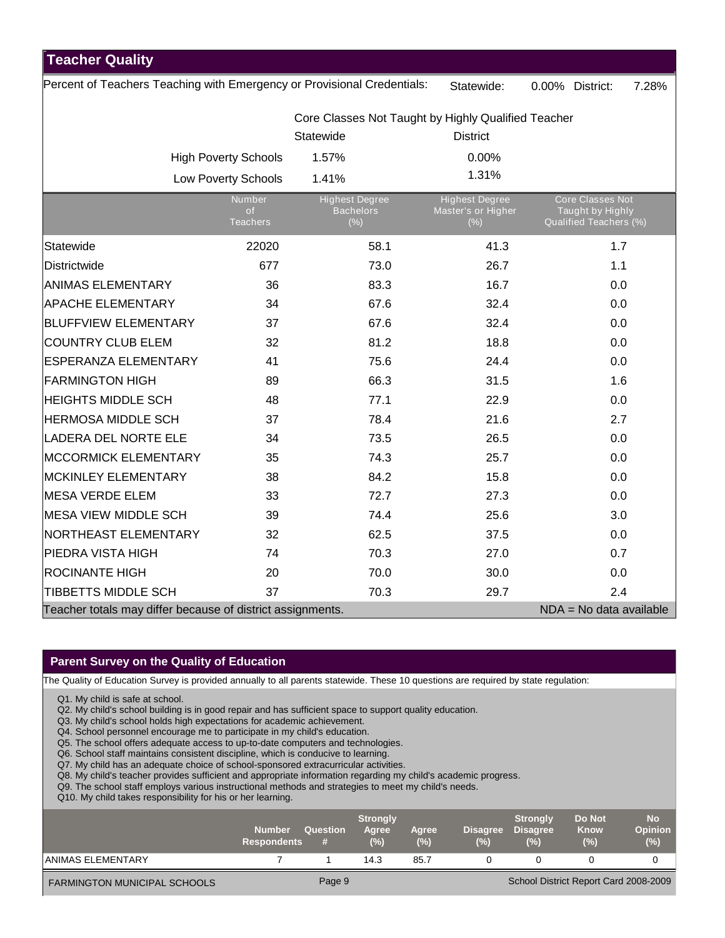| <b>Teacher Quality</b> |  |  |
|------------------------|--|--|

Percent of Teachers Teaching with Emergency or Provisional Credentials: Statewide: 0.00% District: 7.28%

|                                                            |                                 | Statewide                                        | Core Classes Not Taught by Highly Qualified Teacher<br><b>District</b> |                                                                |
|------------------------------------------------------------|---------------------------------|--------------------------------------------------|------------------------------------------------------------------------|----------------------------------------------------------------|
|                                                            | <b>High Poverty Schools</b>     | 1.57%                                            | 0.00%                                                                  |                                                                |
|                                                            | Low Poverty Schools             | 1.41%                                            | 1.31%                                                                  |                                                                |
|                                                            | Number<br>of<br><b>Teachers</b> | <b>Highest Degree</b><br><b>Bachelors</b><br>(%) | <b>Highest Degree</b><br>Master's or Higher<br>(% )                    | Core Classes Not<br>Taught by Highly<br>Qualified Teachers (%) |
| Statewide                                                  | 22020                           | 58.1                                             | 41.3                                                                   | 1.7                                                            |
| <b>Districtwide</b>                                        | 677                             | 73.0                                             | 26.7                                                                   | 1.1                                                            |
| <b>ANIMAS ELEMENTARY</b>                                   | 36                              | 83.3                                             | 16.7                                                                   | 0.0                                                            |
| <b>APACHE ELEMENTARY</b>                                   | 34                              | 67.6                                             | 32.4                                                                   | 0.0                                                            |
| <b>BLUFFVIEW ELEMENTARY</b>                                | 37                              | 67.6                                             | 32.4                                                                   | 0.0                                                            |
| <b>COUNTRY CLUB ELEM</b>                                   | 32                              | 81.2                                             | 18.8                                                                   | 0.0                                                            |
| <b>ESPERANZA ELEMENTARY</b>                                | 41                              | 75.6                                             | 24.4                                                                   | 0.0                                                            |
| <b>FARMINGTON HIGH</b>                                     | 89                              | 66.3                                             | 31.5                                                                   | 1.6                                                            |
| <b>HEIGHTS MIDDLE SCH</b>                                  | 48                              | 77.1                                             | 22.9                                                                   | 0.0                                                            |
| <b>HERMOSA MIDDLE SCH</b>                                  | 37                              | 78.4                                             | 21.6                                                                   | 2.7                                                            |
| LADERA DEL NORTE ELE                                       | 34                              | 73.5                                             | 26.5                                                                   | 0.0                                                            |
| <b>MCCORMICK ELEMENTARY</b>                                | 35                              | 74.3                                             | 25.7                                                                   | 0.0                                                            |
| <b>MCKINLEY ELEMENTARY</b>                                 | 38                              | 84.2                                             | 15.8                                                                   | 0.0                                                            |
| <b>MESA VERDE ELEM</b>                                     | 33                              | 72.7                                             | 27.3                                                                   | 0.0                                                            |
| <b>MESA VIEW MIDDLE SCH</b>                                | 39                              | 74.4                                             | 25.6                                                                   | 3.0                                                            |
| NORTHEAST ELEMENTARY                                       | 32                              | 62.5                                             | 37.5                                                                   | 0.0                                                            |
| <b>PIEDRA VISTA HIGH</b>                                   | 74                              | 70.3                                             | 27.0                                                                   | 0.7                                                            |
| <b>ROCINANTE HIGH</b>                                      | 20                              | 70.0                                             | 30.0                                                                   | 0.0                                                            |
| TIBBETTS MIDDLE SCH                                        | 37                              | 70.3                                             | 29.7                                                                   | 2.4                                                            |
| Teacher totals may differ because of district assignments. |                                 |                                                  |                                                                        | $NDA = No$ data available                                      |

### **Parent Survey on the Quality of Education**

The Quality of Education Survey is provided annually to all parents statewide. These 10 questions are required by state regulation:

Q1. My child is safe at school.

Q2. My child's school building is in good repair and has sufficient space to support quality education.

- Q3. My child's school holds high expectations for academic achievement.
- Q4. School personnel encourage me to participate in my child's education.
- Q5. The school offers adequate access to up-to-date computers and technologies.

Q6. School staff maintains consistent discipline, which is conducive to learning.

- Q7. My child has an adequate choice of school-sponsored extracurricular activities.
- Q8. My child's teacher provides sufficient and appropriate information regarding my child's academic progress.
- Q9. The school staff employs various instructional methods and strategies to meet my child's needs.
- Q10. My child takes responsibility for his or her learning.

|                                     | Number<br><b>Respondents</b> | Question<br># | <b>Strongly</b><br>Agree<br>(%) | Agree<br>$(\%)$ | <b>Disagree</b><br>$(\%)$ | <b>Strongly</b><br><b>Disagree</b><br>(%) | Do Not<br><b>Know</b><br>(%)          | <b>No</b><br><b>Opinion</b><br>(%) |
|-------------------------------------|------------------------------|---------------|---------------------------------|-----------------|---------------------------|-------------------------------------------|---------------------------------------|------------------------------------|
| <b>ANIMAS ELEMENTARY</b>            |                              |               | 14.3                            | 85.7            |                           |                                           |                                       |                                    |
| <b>FARMINGTON MUNICIPAL SCHOOLS</b> |                              | Page 9        |                                 |                 |                           |                                           | School District Report Card 2008-2009 |                                    |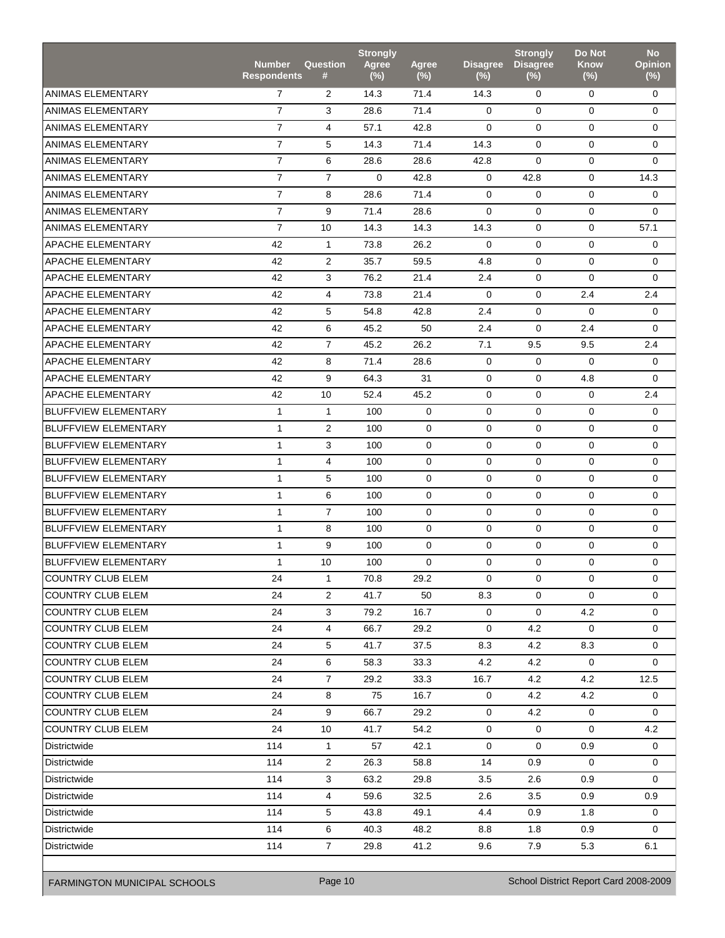|                             | Number<br><b>Respondents</b> | <b>Question</b><br># | <b>Strongly</b><br><b>Agree</b><br>$(\%)$ | Agree<br>$(\%)$ | <b>Disagree</b><br>(%) | <b>Strongly</b><br><b>Disagree</b><br>$(\%)$ | <b>Do Not</b><br><b>Know</b><br>$(\%)$ | <b>No</b><br><b>Opinion</b><br>$(\%)$ |
|-----------------------------|------------------------------|----------------------|-------------------------------------------|-----------------|------------------------|----------------------------------------------|----------------------------------------|---------------------------------------|
| <b>ANIMAS ELEMENTARY</b>    | $\overline{7}$               | 2                    | 14.3                                      | 71.4            | 14.3                   | 0                                            | 0                                      | 0                                     |
| <b>ANIMAS ELEMENTARY</b>    | $\overline{7}$               | 3                    | 28.6                                      | 71.4            | $\Omega$               | $\mathbf 0$                                  | $\Omega$                               | $\mathbf 0$                           |
| <b>ANIMAS ELEMENTARY</b>    | $\overline{7}$               | $\overline{4}$       | 57.1                                      | 42.8            | $\Omega$               | $\mathbf 0$                                  | $\Omega$                               | 0                                     |
| <b>ANIMAS ELEMENTARY</b>    | $\overline{7}$               | 5                    | 14.3                                      | 71.4            | 14.3                   | 0                                            | $\mathbf 0$                            | 0                                     |
| <b>ANIMAS ELEMENTARY</b>    | $\overline{7}$               | 6                    | 28.6                                      | 28.6            | 42.8                   | $\mathbf 0$                                  | $\mathbf 0$                            | 0                                     |
| <b>ANIMAS ELEMENTARY</b>    | $\overline{7}$               | $\overline{7}$       | $\Omega$                                  | 42.8            | $\mathbf 0$            | 42.8                                         | $\mathbf 0$                            | 14.3                                  |
| ANIMAS ELEMENTARY           | $\overline{7}$               | 8                    | 28.6                                      | 71.4            | 0                      | $\mathbf 0$                                  | $\mathbf 0$                            | 0                                     |
| ANIMAS ELEMENTARY           | $\overline{7}$               | 9                    | 71.4                                      | 28.6            | $\Omega$               | $\mathbf 0$                                  | $\Omega$                               | 0                                     |
| <b>ANIMAS ELEMENTARY</b>    | $\overline{7}$               | 10                   | 14.3                                      | 14.3            | 14.3                   | 0                                            | 0                                      | 57.1                                  |
| <b>APACHE ELEMENTARY</b>    | 42                           | $\mathbf{1}$         | 73.8                                      | 26.2            | $\mathbf 0$            | $\mathbf 0$                                  | $\mathbf 0$                            | 0                                     |
| <b>APACHE ELEMENTARY</b>    | 42                           | 2                    | 35.7                                      | 59.5            | 4.8                    | $\mathbf 0$                                  | $\Omega$                               | $\mathbf 0$                           |
| APACHE ELEMENTARY           | 42                           | 3                    | 76.2                                      | 21.4            | 2.4                    | $\mathbf 0$                                  | $\mathbf 0$                            | $\mathbf 0$                           |
| APACHE FI FMENTARY          | 42                           | $\overline{4}$       | 73.8                                      | 21.4            | $\Omega$               | $\mathbf 0$                                  | 2.4                                    | 2.4                                   |
| <b>APACHE ELEMENTARY</b>    | 42                           | 5                    | 54.8                                      | 42.8            | 2.4                    | 0                                            | $\Omega$                               | 0                                     |
| APACHE ELEMENTARY           | 42                           | 6                    | 45.2                                      | 50              | 2.4                    | $\mathbf 0$                                  | 2.4                                    | 0                                     |
| APACHE ELEMENTARY           | 42                           | $\overline{7}$       | 45.2                                      | 26.2            | 7.1                    | 9.5                                          | 9.5                                    | 2.4                                   |
| <b>APACHE ELEMENTARY</b>    | 42                           | 8                    | 71.4                                      | 28.6            | $\mathbf 0$            | $\mathbf 0$                                  | $\Omega$                               | 0                                     |
| APACHE ELEMENTARY           | 42                           | 9                    | 64.3                                      | 31              | $\mathbf 0$            | $\mathbf 0$                                  | 4.8                                    | $\mathbf 0$                           |
| <b>APACHE ELEMENTARY</b>    | 42                           | 10                   | 52.4                                      | 45.2            | 0                      | $\mathbf 0$                                  | $\mathbf 0$                            | 2.4                                   |
| <b>BLUFFVIEW ELEMENTARY</b> | $\mathbf{1}$                 | $\mathbf{1}$         | 100                                       | $\mathbf 0$     | $\mathbf 0$            | $\mathbf 0$                                  | $\mathbf 0$                            | 0                                     |
| <b>BLUFFVIEW ELEMENTARY</b> | $\mathbf{1}$                 | 2                    | 100                                       | $\mathbf 0$     | 0                      | $\mathbf 0$                                  | $\mathbf 0$                            | 0                                     |
| <b>BLUFFVIEW ELEMENTARY</b> | $\mathbf{1}$                 | 3                    | 100                                       | $\mathbf 0$     | $\mathbf 0$            | $\mathbf 0$                                  | $\mathbf 0$                            | 0                                     |
| <b>BLUFFVIEW ELEMENTARY</b> | $\mathbf{1}$                 | $\overline{4}$       | 100                                       | $\mathbf 0$     | $\mathbf 0$            | $\mathbf 0$                                  | $\mathbf 0$                            | 0                                     |
| <b>BLUFFVIEW ELEMENTARY</b> | $\mathbf{1}$                 | 5                    | 100                                       | $\mathbf 0$     | 0                      | $\mathbf 0$                                  | $\mathbf 0$                            | 0                                     |
| <b>BLUFFVIEW ELEMENTARY</b> | $\mathbf{1}$                 | 6                    | 100                                       | $\Omega$        | $\mathbf 0$            | $\mathbf 0$                                  | $\mathbf 0$                            | 0                                     |
| <b>BLUFFVIEW ELEMENTARY</b> | $\mathbf{1}$                 | $\overline{7}$       | 100                                       | $\mathbf 0$     | 0                      | $\mathbf 0$                                  | $\mathbf 0$                            | 0                                     |
| <b>BLUFFVIEW ELEMENTARY</b> | $\mathbf{1}$                 | 8                    | 100                                       | $\mathbf 0$     | $\mathbf 0$            | $\mathbf 0$                                  | $\mathbf 0$                            | 0                                     |
| <b>BLUFFVIEW ELEMENTARY</b> | $\mathbf{1}$                 | 9                    | 100                                       | $\mathbf 0$     | $\mathbf 0$            | $\mathbf 0$                                  | $\mathbf 0$                            | 0                                     |
| <b>BLUFFVIEW ELEMENTARY</b> | $\mathbf{1}$                 | 10                   | 100                                       | $\mathbf 0$     | $\mathbf 0$            | $\mathbf 0$                                  | $\mathbf 0$                            | 0                                     |
| COUNTRY CLUB ELEM           | 24                           | 1                    | 70.8                                      | 29.2            | 0                      | 0                                            | 0                                      | 0                                     |
| <b>COUNTRY CLUB ELEM</b>    | 24                           | $\overline{2}$       | 41.7                                      | 50              | 8.3                    | $\mathbf 0$                                  | $\Omega$                               | 0                                     |
| <b>COUNTRY CLUB ELEM</b>    | 24                           | 3                    | 79.2                                      | 16.7            | 0                      | 0                                            | 4.2                                    | 0                                     |
| <b>COUNTRY CLUB ELEM</b>    | 24                           | $\overline{4}$       | 66.7                                      | 29.2            | 0                      | 4.2                                          | 0                                      | 0                                     |
| <b>COUNTRY CLUB ELEM</b>    | 24                           | 5                    | 41.7                                      | 37.5            | 8.3                    | 4.2                                          | 8.3                                    | 0                                     |
| <b>COUNTRY CLUB ELEM</b>    | 24                           | 6                    | 58.3                                      | 33.3            | 4.2                    | 4.2                                          | 0                                      | 0                                     |
| <b>COUNTRY CLUB ELEM</b>    | 24                           | $\overline{7}$       | 29.2                                      | 33.3            | 16.7                   | 4.2                                          | 4.2                                    | 12.5                                  |
| <b>COUNTRY CLUB ELEM</b>    | 24                           | 8                    | 75                                        | 16.7            | $\mathbf 0$            | 4.2                                          | 4.2                                    | 0                                     |
| <b>COUNTRY CLUB ELEM</b>    | 24                           | 9                    | 66.7                                      | 29.2            | 0                      | 4.2                                          | 0                                      | 0                                     |
| <b>COUNTRY CLUB ELEM</b>    | 24                           | 10                   | 41.7                                      | 54.2            | 0                      | $\mathbf 0$                                  | $\mathbf 0$                            | 4.2                                   |
| Districtwide                | 114                          | $\mathbf{1}$         | 57                                        | 42.1            | 0                      | $\mathbf 0$                                  | 0.9                                    | 0                                     |
| Districtwide                | 114                          | $\overline{2}$       | 26.3                                      | 58.8            | 14                     | 0.9                                          | 0                                      | 0                                     |
| Districtwide                | 114                          | 3                    | 63.2                                      | 29.8            | 3.5                    | 2.6                                          | 0.9                                    | 0                                     |
| Districtwide                | 114                          | $\overline{4}$       | 59.6                                      | 32.5            | 2.6                    | 3.5                                          | 0.9                                    | 0.9                                   |
| Districtwide                | 114                          | 5                    | 43.8                                      | 49.1            | 4.4                    | 0.9                                          | 1.8                                    | 0                                     |
| Districtwide                | 114                          | 6                    | 40.3                                      | 48.2            | 8.8                    | 1.8                                          | 0.9                                    | 0                                     |
| Districtwide                | 114                          | $\overline{7}$       | 29.8                                      | 41.2            | 9.6                    | 7.9                                          | 5.3                                    | 6.1                                   |

FARMINGTON MUNICIPAL SCHOOLS Page 10 Page 10 School District Report Card 2008-2009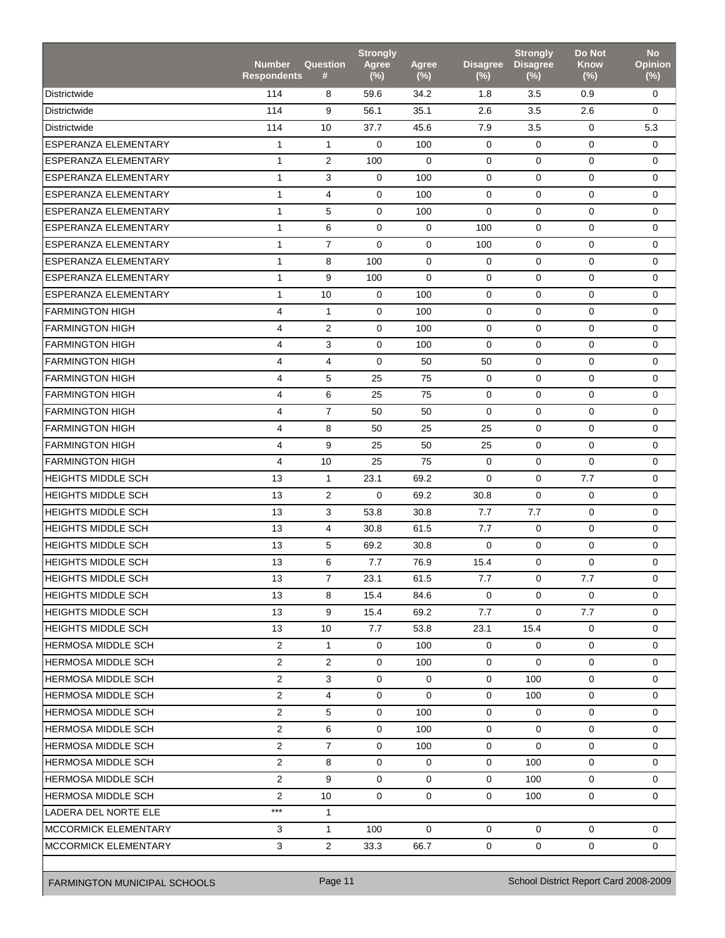| <b>Districtwide</b><br>114<br>8<br>59.6<br>34.2<br>3.5<br>0.9<br>0<br>1.8<br><b>Districtwide</b><br>114<br>9<br>56.1<br>35.1<br>2.6<br>3.5<br>2.6<br>$\mathbf 0$<br><b>Districtwide</b><br>114<br>37.7<br>45.6<br>7.9<br>10<br>3.5<br>0<br>5.3<br><b>ESPERANZA ELEMENTARY</b><br>0<br>$\mathbf{1}$<br>$\mathbf{1}$<br>0<br>100<br>0<br>0<br>0<br><b>ESPERANZA ELEMENTARY</b><br>$\mathbf{1}$<br>2<br>$\mathbf 0$<br>$\mathbf{0}$<br>100<br>$\mathbf 0$<br>$\mathbf 0$<br>0<br><b>ESPERANZA ELEMENTARY</b><br>$\mathbf{1}$<br>3<br>$\mathbf 0$<br>100<br>0<br>$\mathbf 0$<br>$\mathbf 0$<br>$\mathbf 0$<br><b>ESPERANZA ELEMENTARY</b><br>$\mathbf{1}$<br>$\overline{4}$<br>$\mathbf 0$<br>$\mathbf 0$<br>100<br>0<br>0<br>0<br><b>ESPERANZA ELEMENTARY</b><br>$\mathbf{1}$<br>5<br>$\mathbf 0$<br>100<br>$\mathbf 0$<br>$\mathbf 0$<br>0<br>0<br>6<br>ESPERANZA ELEMENTARY<br>$\mathbf{1}$<br>0<br>$\mathbf 0$<br>100<br>0<br>0<br>0<br>$\overline{7}$<br><b>ESPERANZA ELEMENTARY</b><br>$\mathbf{1}$<br>$\mathbf 0$<br>$\mathbf 0$<br>100<br>0<br>0<br>0<br><b>ESPERANZA ELEMENTARY</b><br>8<br>100<br>$\mathbf 0$<br>$\Omega$<br>$\mathbf{1}$<br>$\mathbf 0$<br>$\mathbf 0$<br>$\mathbf 0$<br>9<br>$\mathbf 0$<br>0<br>$\mathbf{0}$<br><b>ESPERANZA ELEMENTARY</b><br>$\mathbf{1}$<br>100<br>$\mathbf 0$<br>$\mathbf 0$<br>ESPERANZA ELEMENTARY<br>$\mathbf{1}$<br>10<br>100<br>$\mathbf 0$<br>$\Omega$<br>0<br>0<br>0<br><b>FARMINGTON HIGH</b><br>$\overline{4}$<br>$\mathbf{1}$<br>$\mathbf 0$<br>100<br>$\mathbf 0$<br>$\mathbf 0$<br>0<br>0<br>$\overline{\mathbf{4}}$<br><b>FARMINGTON HIGH</b><br>2<br>0<br>100<br>0<br>0<br>0<br>$\mathbf 0$<br><b>FARMINGTON HIGH</b><br>3<br>4<br>$\mathbf 0$<br>100<br>0<br>0<br>$\mathbf 0$<br>$\mathbf 0$<br>$\overline{4}$<br>$\Omega$<br><b>FARMINGTON HIGH</b><br>4<br>50<br>50<br>$\mathbf 0$<br>$\Omega$<br>0<br>5<br><b>FARMINGTON HIGH</b><br>4<br>25<br>75<br>0<br>$\mathbf 0$<br>0<br>0<br><b>FARMINGTON HIGH</b><br>$\overline{4}$<br>6<br>25<br>75<br>0<br>$\mathbf{0}$<br>$\mathbf 0$<br>$\mathbf 0$<br>$\overline{7}$<br><b>FARMINGTON HIGH</b><br>$\overline{4}$<br>50<br>50<br>$\mathbf 0$<br>0<br>0<br>0<br>$\overline{4}$<br><b>FARMINGTON HIGH</b><br>8<br>50<br>25<br>25<br>0<br>$\mathbf 0$<br>$\mathbf 0$<br><b>FARMINGTON HIGH</b><br>9<br>$\mathbf{0}$<br>4<br>25<br>50<br>25<br>$\mathbf 0$<br>0<br>10<br>75<br><b>FARMINGTON HIGH</b><br>$\overline{4}$<br>25<br>0<br>$\mathbf 0$<br>$\Omega$<br>$\mathbf 0$<br><b>HEIGHTS MIDDLE SCH</b><br>13<br>7.7<br>$\mathbf{1}$<br>23.1<br>69.2<br>$\Omega$<br>0<br>0<br><b>HEIGHTS MIDDLE SCH</b><br>13<br>2<br>$\mathbf 0$<br>69.2<br>30.8<br>$\mathbf 0$<br>$\mathbf 0$<br>0<br>3<br>7.7<br><b>HEIGHTS MIDDLE SCH</b><br>13<br>53.8<br>7.7<br>0<br>30.8<br>0<br><b>HEIGHTS MIDDLE SCH</b><br>13<br>$\overline{4}$<br>$\mathbf 0$<br>30.8<br>61.5<br>7.7<br>0<br>0<br><b>HEIGHTS MIDDLE SCH</b><br>5<br>13<br>69.2<br>30.8<br>$\mathbf 0$<br>$\mathbf 0$<br>$\mathbf 0$<br>$\mathbf 0$<br><b>HEIGHTS MIDDLE SCH</b><br>13<br>6<br>7.7<br>76.9<br>15.4<br>$\mathbf 0$<br>$\mathbf 0$<br>$\mathbf 0$<br><b>HEIGHTS MIDDLE SCH</b><br>13<br>$\overline{7}$<br>23.1<br>61.5<br>7.7<br>0<br>7.7<br>0<br><b>HEIGHTS MIDDLE SCH</b><br>13<br>8<br>15.4<br>84.6<br>$\Omega$<br>$\Omega$<br>$\Omega$<br>0<br><b>HEIGHTS MIDDLE SCH</b><br>9<br>7.7<br>13<br>15.4<br>69.2<br>7.7<br>0<br>0<br><b>HEIGHTS MIDDLE SCH</b><br>13<br>10 <sup>1</sup><br>7.7<br>23.1<br>15.4<br>53.8<br>$\mathbf 0$<br>0<br>2<br><b>HERMOSA MIDDLE SCH</b><br>$\mathbf 0$<br>$\mathbf{1}$<br>$\Omega$<br>100<br>0<br>$\Omega$<br>0<br>$\overline{2}$<br>2<br><b>HERMOSA MIDDLE SCH</b><br>0<br>100<br>0<br>0<br>0<br>0<br>$\overline{2}$<br>3<br><b>HERMOSA MIDDLE SCH</b><br>$\mathbf 0$<br>$\mathbf 0$<br>$\mathbf 0$<br>$\mathbf 0$<br>100<br>0<br><b>HERMOSA MIDDLE SCH</b><br>$\overline{2}$<br>$\overline{4}$<br>$\Omega$<br>100<br>$\mathbf 0$<br>0<br>0<br>0<br>$\overline{2}$<br>5<br>100<br>$\mathbf 0$<br><b>HERMOSA MIDDLE SCH</b><br>$\mathbf 0$<br>0<br>0<br>0<br>2<br><b>HERMOSA MIDDLE SCH</b><br>6<br>$\overline{0}$<br>100<br>$\mathbf 0$<br>0<br>0<br>0<br>$\overline{2}$<br><b>HERMOSA MIDDLE SCH</b><br>$\overline{7}$<br>$\overline{0}$<br>$\mathbf 0$<br>$\mathbf{0}$<br>100<br>0<br>0<br>$\overline{2}$<br><b>HERMOSA MIDDLE SCH</b><br>8<br>0<br>0<br>0<br>0<br>100<br>0<br><b>HERMOSA MIDDLE SCH</b><br>$\overline{2}$<br>9<br>$\mathbf 0$<br>$\mathbf 0$<br>$\mathbf 0$<br>0<br>100<br>0<br><b>HERMOSA MIDDLE SCH</b><br>$\overline{2}$<br>10<br>$\mathbf 0$<br>$\mathbf 0$<br>$\mathbf 0$<br>$\mathbf{0}$<br>100<br>0<br>$\star\star\star$<br>LADERA DEL NORTE ELE<br>$\mathbf{1}$ |                             | <b>Number</b><br><b>Respondents</b> | <b>Question</b><br># | <b>Strongly</b><br><b>Agree</b><br>$(\%)$ | Agree<br>$(\%)$ | <b>Disagree</b><br>$(\%)$ | <b>Strongly</b><br><b>Disagree</b><br>$(\%)$ | <b>Do Not</b><br><b>Know</b><br>(%) | <b>No</b><br><b>Opinion</b><br>$(\%)$ |
|--------------------------------------------------------------------------------------------------------------------------------------------------------------------------------------------------------------------------------------------------------------------------------------------------------------------------------------------------------------------------------------------------------------------------------------------------------------------------------------------------------------------------------------------------------------------------------------------------------------------------------------------------------------------------------------------------------------------------------------------------------------------------------------------------------------------------------------------------------------------------------------------------------------------------------------------------------------------------------------------------------------------------------------------------------------------------------------------------------------------------------------------------------------------------------------------------------------------------------------------------------------------------------------------------------------------------------------------------------------------------------------------------------------------------------------------------------------------------------------------------------------------------------------------------------------------------------------------------------------------------------------------------------------------------------------------------------------------------------------------------------------------------------------------------------------------------------------------------------------------------------------------------------------------------------------------------------------------------------------------------------------------------------------------------------------------------------------------------------------------------------------------------------------------------------------------------------------------------------------------------------------------------------------------------------------------------------------------------------------------------------------------------------------------------------------------------------------------------------------------------------------------------------------------------------------------------------------------------------------------------------------------------------------------------------------------------------------------------------------------------------------------------------------------------------------------------------------------------------------------------------------------------------------------------------------------------------------------------------------------------------------------------------------------------------------------------------------------------------------------------------------------------------------------------------------------------------------------------------------------------------------------------------------------------------------------------------------------------------------------------------------------------------------------------------------------------------------------------------------------------------------------------------------------------------------------------------------------------------------------------------------------------------------------------------------------------------------------------------------------------------------------------------------------------------------------------------------------------------------------------------------------------------------------------------------------------------------------------------------------------------------------------------------------------------------------------------------------------------------------------------------------------------------------------------------------------------------------------------------------------------------------------------------------------------------------------------------------------------------------------------------------------------------------------------------------------------------------------------------------------------------------------------------------------------------------------------------------------------------------------------------------------------------------------------------------------|-----------------------------|-------------------------------------|----------------------|-------------------------------------------|-----------------|---------------------------|----------------------------------------------|-------------------------------------|---------------------------------------|
|                                                                                                                                                                                                                                                                                                                                                                                                                                                                                                                                                                                                                                                                                                                                                                                                                                                                                                                                                                                                                                                                                                                                                                                                                                                                                                                                                                                                                                                                                                                                                                                                                                                                                                                                                                                                                                                                                                                                                                                                                                                                                                                                                                                                                                                                                                                                                                                                                                                                                                                                                                                                                                                                                                                                                                                                                                                                                                                                                                                                                                                                                                                                                                                                                                                                                                                                                                                                                                                                                                                                                                                                                                                                                                                                                                                                                                                                                                                                                                                                                                                                                                                                                                                                                                                                                                                                                                                                                                                                                                                                                                                                                                                                                                  |                             |                                     |                      |                                           |                 |                           |                                              |                                     |                                       |
|                                                                                                                                                                                                                                                                                                                                                                                                                                                                                                                                                                                                                                                                                                                                                                                                                                                                                                                                                                                                                                                                                                                                                                                                                                                                                                                                                                                                                                                                                                                                                                                                                                                                                                                                                                                                                                                                                                                                                                                                                                                                                                                                                                                                                                                                                                                                                                                                                                                                                                                                                                                                                                                                                                                                                                                                                                                                                                                                                                                                                                                                                                                                                                                                                                                                                                                                                                                                                                                                                                                                                                                                                                                                                                                                                                                                                                                                                                                                                                                                                                                                                                                                                                                                                                                                                                                                                                                                                                                                                                                                                                                                                                                                                                  |                             |                                     |                      |                                           |                 |                           |                                              |                                     |                                       |
|                                                                                                                                                                                                                                                                                                                                                                                                                                                                                                                                                                                                                                                                                                                                                                                                                                                                                                                                                                                                                                                                                                                                                                                                                                                                                                                                                                                                                                                                                                                                                                                                                                                                                                                                                                                                                                                                                                                                                                                                                                                                                                                                                                                                                                                                                                                                                                                                                                                                                                                                                                                                                                                                                                                                                                                                                                                                                                                                                                                                                                                                                                                                                                                                                                                                                                                                                                                                                                                                                                                                                                                                                                                                                                                                                                                                                                                                                                                                                                                                                                                                                                                                                                                                                                                                                                                                                                                                                                                                                                                                                                                                                                                                                                  |                             |                                     |                      |                                           |                 |                           |                                              |                                     |                                       |
|                                                                                                                                                                                                                                                                                                                                                                                                                                                                                                                                                                                                                                                                                                                                                                                                                                                                                                                                                                                                                                                                                                                                                                                                                                                                                                                                                                                                                                                                                                                                                                                                                                                                                                                                                                                                                                                                                                                                                                                                                                                                                                                                                                                                                                                                                                                                                                                                                                                                                                                                                                                                                                                                                                                                                                                                                                                                                                                                                                                                                                                                                                                                                                                                                                                                                                                                                                                                                                                                                                                                                                                                                                                                                                                                                                                                                                                                                                                                                                                                                                                                                                                                                                                                                                                                                                                                                                                                                                                                                                                                                                                                                                                                                                  |                             |                                     |                      |                                           |                 |                           |                                              |                                     |                                       |
|                                                                                                                                                                                                                                                                                                                                                                                                                                                                                                                                                                                                                                                                                                                                                                                                                                                                                                                                                                                                                                                                                                                                                                                                                                                                                                                                                                                                                                                                                                                                                                                                                                                                                                                                                                                                                                                                                                                                                                                                                                                                                                                                                                                                                                                                                                                                                                                                                                                                                                                                                                                                                                                                                                                                                                                                                                                                                                                                                                                                                                                                                                                                                                                                                                                                                                                                                                                                                                                                                                                                                                                                                                                                                                                                                                                                                                                                                                                                                                                                                                                                                                                                                                                                                                                                                                                                                                                                                                                                                                                                                                                                                                                                                                  |                             |                                     |                      |                                           |                 |                           |                                              |                                     |                                       |
|                                                                                                                                                                                                                                                                                                                                                                                                                                                                                                                                                                                                                                                                                                                                                                                                                                                                                                                                                                                                                                                                                                                                                                                                                                                                                                                                                                                                                                                                                                                                                                                                                                                                                                                                                                                                                                                                                                                                                                                                                                                                                                                                                                                                                                                                                                                                                                                                                                                                                                                                                                                                                                                                                                                                                                                                                                                                                                                                                                                                                                                                                                                                                                                                                                                                                                                                                                                                                                                                                                                                                                                                                                                                                                                                                                                                                                                                                                                                                                                                                                                                                                                                                                                                                                                                                                                                                                                                                                                                                                                                                                                                                                                                                                  |                             |                                     |                      |                                           |                 |                           |                                              |                                     |                                       |
|                                                                                                                                                                                                                                                                                                                                                                                                                                                                                                                                                                                                                                                                                                                                                                                                                                                                                                                                                                                                                                                                                                                                                                                                                                                                                                                                                                                                                                                                                                                                                                                                                                                                                                                                                                                                                                                                                                                                                                                                                                                                                                                                                                                                                                                                                                                                                                                                                                                                                                                                                                                                                                                                                                                                                                                                                                                                                                                                                                                                                                                                                                                                                                                                                                                                                                                                                                                                                                                                                                                                                                                                                                                                                                                                                                                                                                                                                                                                                                                                                                                                                                                                                                                                                                                                                                                                                                                                                                                                                                                                                                                                                                                                                                  |                             |                                     |                      |                                           |                 |                           |                                              |                                     |                                       |
|                                                                                                                                                                                                                                                                                                                                                                                                                                                                                                                                                                                                                                                                                                                                                                                                                                                                                                                                                                                                                                                                                                                                                                                                                                                                                                                                                                                                                                                                                                                                                                                                                                                                                                                                                                                                                                                                                                                                                                                                                                                                                                                                                                                                                                                                                                                                                                                                                                                                                                                                                                                                                                                                                                                                                                                                                                                                                                                                                                                                                                                                                                                                                                                                                                                                                                                                                                                                                                                                                                                                                                                                                                                                                                                                                                                                                                                                                                                                                                                                                                                                                                                                                                                                                                                                                                                                                                                                                                                                                                                                                                                                                                                                                                  |                             |                                     |                      |                                           |                 |                           |                                              |                                     |                                       |
|                                                                                                                                                                                                                                                                                                                                                                                                                                                                                                                                                                                                                                                                                                                                                                                                                                                                                                                                                                                                                                                                                                                                                                                                                                                                                                                                                                                                                                                                                                                                                                                                                                                                                                                                                                                                                                                                                                                                                                                                                                                                                                                                                                                                                                                                                                                                                                                                                                                                                                                                                                                                                                                                                                                                                                                                                                                                                                                                                                                                                                                                                                                                                                                                                                                                                                                                                                                                                                                                                                                                                                                                                                                                                                                                                                                                                                                                                                                                                                                                                                                                                                                                                                                                                                                                                                                                                                                                                                                                                                                                                                                                                                                                                                  |                             |                                     |                      |                                           |                 |                           |                                              |                                     |                                       |
|                                                                                                                                                                                                                                                                                                                                                                                                                                                                                                                                                                                                                                                                                                                                                                                                                                                                                                                                                                                                                                                                                                                                                                                                                                                                                                                                                                                                                                                                                                                                                                                                                                                                                                                                                                                                                                                                                                                                                                                                                                                                                                                                                                                                                                                                                                                                                                                                                                                                                                                                                                                                                                                                                                                                                                                                                                                                                                                                                                                                                                                                                                                                                                                                                                                                                                                                                                                                                                                                                                                                                                                                                                                                                                                                                                                                                                                                                                                                                                                                                                                                                                                                                                                                                                                                                                                                                                                                                                                                                                                                                                                                                                                                                                  |                             |                                     |                      |                                           |                 |                           |                                              |                                     |                                       |
|                                                                                                                                                                                                                                                                                                                                                                                                                                                                                                                                                                                                                                                                                                                                                                                                                                                                                                                                                                                                                                                                                                                                                                                                                                                                                                                                                                                                                                                                                                                                                                                                                                                                                                                                                                                                                                                                                                                                                                                                                                                                                                                                                                                                                                                                                                                                                                                                                                                                                                                                                                                                                                                                                                                                                                                                                                                                                                                                                                                                                                                                                                                                                                                                                                                                                                                                                                                                                                                                                                                                                                                                                                                                                                                                                                                                                                                                                                                                                                                                                                                                                                                                                                                                                                                                                                                                                                                                                                                                                                                                                                                                                                                                                                  |                             |                                     |                      |                                           |                 |                           |                                              |                                     |                                       |
|                                                                                                                                                                                                                                                                                                                                                                                                                                                                                                                                                                                                                                                                                                                                                                                                                                                                                                                                                                                                                                                                                                                                                                                                                                                                                                                                                                                                                                                                                                                                                                                                                                                                                                                                                                                                                                                                                                                                                                                                                                                                                                                                                                                                                                                                                                                                                                                                                                                                                                                                                                                                                                                                                                                                                                                                                                                                                                                                                                                                                                                                                                                                                                                                                                                                                                                                                                                                                                                                                                                                                                                                                                                                                                                                                                                                                                                                                                                                                                                                                                                                                                                                                                                                                                                                                                                                                                                                                                                                                                                                                                                                                                                                                                  |                             |                                     |                      |                                           |                 |                           |                                              |                                     |                                       |
|                                                                                                                                                                                                                                                                                                                                                                                                                                                                                                                                                                                                                                                                                                                                                                                                                                                                                                                                                                                                                                                                                                                                                                                                                                                                                                                                                                                                                                                                                                                                                                                                                                                                                                                                                                                                                                                                                                                                                                                                                                                                                                                                                                                                                                                                                                                                                                                                                                                                                                                                                                                                                                                                                                                                                                                                                                                                                                                                                                                                                                                                                                                                                                                                                                                                                                                                                                                                                                                                                                                                                                                                                                                                                                                                                                                                                                                                                                                                                                                                                                                                                                                                                                                                                                                                                                                                                                                                                                                                                                                                                                                                                                                                                                  |                             |                                     |                      |                                           |                 |                           |                                              |                                     |                                       |
|                                                                                                                                                                                                                                                                                                                                                                                                                                                                                                                                                                                                                                                                                                                                                                                                                                                                                                                                                                                                                                                                                                                                                                                                                                                                                                                                                                                                                                                                                                                                                                                                                                                                                                                                                                                                                                                                                                                                                                                                                                                                                                                                                                                                                                                                                                                                                                                                                                                                                                                                                                                                                                                                                                                                                                                                                                                                                                                                                                                                                                                                                                                                                                                                                                                                                                                                                                                                                                                                                                                                                                                                                                                                                                                                                                                                                                                                                                                                                                                                                                                                                                                                                                                                                                                                                                                                                                                                                                                                                                                                                                                                                                                                                                  |                             |                                     |                      |                                           |                 |                           |                                              |                                     |                                       |
|                                                                                                                                                                                                                                                                                                                                                                                                                                                                                                                                                                                                                                                                                                                                                                                                                                                                                                                                                                                                                                                                                                                                                                                                                                                                                                                                                                                                                                                                                                                                                                                                                                                                                                                                                                                                                                                                                                                                                                                                                                                                                                                                                                                                                                                                                                                                                                                                                                                                                                                                                                                                                                                                                                                                                                                                                                                                                                                                                                                                                                                                                                                                                                                                                                                                                                                                                                                                                                                                                                                                                                                                                                                                                                                                                                                                                                                                                                                                                                                                                                                                                                                                                                                                                                                                                                                                                                                                                                                                                                                                                                                                                                                                                                  |                             |                                     |                      |                                           |                 |                           |                                              |                                     |                                       |
|                                                                                                                                                                                                                                                                                                                                                                                                                                                                                                                                                                                                                                                                                                                                                                                                                                                                                                                                                                                                                                                                                                                                                                                                                                                                                                                                                                                                                                                                                                                                                                                                                                                                                                                                                                                                                                                                                                                                                                                                                                                                                                                                                                                                                                                                                                                                                                                                                                                                                                                                                                                                                                                                                                                                                                                                                                                                                                                                                                                                                                                                                                                                                                                                                                                                                                                                                                                                                                                                                                                                                                                                                                                                                                                                                                                                                                                                                                                                                                                                                                                                                                                                                                                                                                                                                                                                                                                                                                                                                                                                                                                                                                                                                                  |                             |                                     |                      |                                           |                 |                           |                                              |                                     |                                       |
|                                                                                                                                                                                                                                                                                                                                                                                                                                                                                                                                                                                                                                                                                                                                                                                                                                                                                                                                                                                                                                                                                                                                                                                                                                                                                                                                                                                                                                                                                                                                                                                                                                                                                                                                                                                                                                                                                                                                                                                                                                                                                                                                                                                                                                                                                                                                                                                                                                                                                                                                                                                                                                                                                                                                                                                                                                                                                                                                                                                                                                                                                                                                                                                                                                                                                                                                                                                                                                                                                                                                                                                                                                                                                                                                                                                                                                                                                                                                                                                                                                                                                                                                                                                                                                                                                                                                                                                                                                                                                                                                                                                                                                                                                                  |                             |                                     |                      |                                           |                 |                           |                                              |                                     |                                       |
|                                                                                                                                                                                                                                                                                                                                                                                                                                                                                                                                                                                                                                                                                                                                                                                                                                                                                                                                                                                                                                                                                                                                                                                                                                                                                                                                                                                                                                                                                                                                                                                                                                                                                                                                                                                                                                                                                                                                                                                                                                                                                                                                                                                                                                                                                                                                                                                                                                                                                                                                                                                                                                                                                                                                                                                                                                                                                                                                                                                                                                                                                                                                                                                                                                                                                                                                                                                                                                                                                                                                                                                                                                                                                                                                                                                                                                                                                                                                                                                                                                                                                                                                                                                                                                                                                                                                                                                                                                                                                                                                                                                                                                                                                                  |                             |                                     |                      |                                           |                 |                           |                                              |                                     |                                       |
|                                                                                                                                                                                                                                                                                                                                                                                                                                                                                                                                                                                                                                                                                                                                                                                                                                                                                                                                                                                                                                                                                                                                                                                                                                                                                                                                                                                                                                                                                                                                                                                                                                                                                                                                                                                                                                                                                                                                                                                                                                                                                                                                                                                                                                                                                                                                                                                                                                                                                                                                                                                                                                                                                                                                                                                                                                                                                                                                                                                                                                                                                                                                                                                                                                                                                                                                                                                                                                                                                                                                                                                                                                                                                                                                                                                                                                                                                                                                                                                                                                                                                                                                                                                                                                                                                                                                                                                                                                                                                                                                                                                                                                                                                                  |                             |                                     |                      |                                           |                 |                           |                                              |                                     |                                       |
|                                                                                                                                                                                                                                                                                                                                                                                                                                                                                                                                                                                                                                                                                                                                                                                                                                                                                                                                                                                                                                                                                                                                                                                                                                                                                                                                                                                                                                                                                                                                                                                                                                                                                                                                                                                                                                                                                                                                                                                                                                                                                                                                                                                                                                                                                                                                                                                                                                                                                                                                                                                                                                                                                                                                                                                                                                                                                                                                                                                                                                                                                                                                                                                                                                                                                                                                                                                                                                                                                                                                                                                                                                                                                                                                                                                                                                                                                                                                                                                                                                                                                                                                                                                                                                                                                                                                                                                                                                                                                                                                                                                                                                                                                                  |                             |                                     |                      |                                           |                 |                           |                                              |                                     |                                       |
|                                                                                                                                                                                                                                                                                                                                                                                                                                                                                                                                                                                                                                                                                                                                                                                                                                                                                                                                                                                                                                                                                                                                                                                                                                                                                                                                                                                                                                                                                                                                                                                                                                                                                                                                                                                                                                                                                                                                                                                                                                                                                                                                                                                                                                                                                                                                                                                                                                                                                                                                                                                                                                                                                                                                                                                                                                                                                                                                                                                                                                                                                                                                                                                                                                                                                                                                                                                                                                                                                                                                                                                                                                                                                                                                                                                                                                                                                                                                                                                                                                                                                                                                                                                                                                                                                                                                                                                                                                                                                                                                                                                                                                                                                                  |                             |                                     |                      |                                           |                 |                           |                                              |                                     |                                       |
|                                                                                                                                                                                                                                                                                                                                                                                                                                                                                                                                                                                                                                                                                                                                                                                                                                                                                                                                                                                                                                                                                                                                                                                                                                                                                                                                                                                                                                                                                                                                                                                                                                                                                                                                                                                                                                                                                                                                                                                                                                                                                                                                                                                                                                                                                                                                                                                                                                                                                                                                                                                                                                                                                                                                                                                                                                                                                                                                                                                                                                                                                                                                                                                                                                                                                                                                                                                                                                                                                                                                                                                                                                                                                                                                                                                                                                                                                                                                                                                                                                                                                                                                                                                                                                                                                                                                                                                                                                                                                                                                                                                                                                                                                                  |                             |                                     |                      |                                           |                 |                           |                                              |                                     |                                       |
|                                                                                                                                                                                                                                                                                                                                                                                                                                                                                                                                                                                                                                                                                                                                                                                                                                                                                                                                                                                                                                                                                                                                                                                                                                                                                                                                                                                                                                                                                                                                                                                                                                                                                                                                                                                                                                                                                                                                                                                                                                                                                                                                                                                                                                                                                                                                                                                                                                                                                                                                                                                                                                                                                                                                                                                                                                                                                                                                                                                                                                                                                                                                                                                                                                                                                                                                                                                                                                                                                                                                                                                                                                                                                                                                                                                                                                                                                                                                                                                                                                                                                                                                                                                                                                                                                                                                                                                                                                                                                                                                                                                                                                                                                                  |                             |                                     |                      |                                           |                 |                           |                                              |                                     |                                       |
|                                                                                                                                                                                                                                                                                                                                                                                                                                                                                                                                                                                                                                                                                                                                                                                                                                                                                                                                                                                                                                                                                                                                                                                                                                                                                                                                                                                                                                                                                                                                                                                                                                                                                                                                                                                                                                                                                                                                                                                                                                                                                                                                                                                                                                                                                                                                                                                                                                                                                                                                                                                                                                                                                                                                                                                                                                                                                                                                                                                                                                                                                                                                                                                                                                                                                                                                                                                                                                                                                                                                                                                                                                                                                                                                                                                                                                                                                                                                                                                                                                                                                                                                                                                                                                                                                                                                                                                                                                                                                                                                                                                                                                                                                                  |                             |                                     |                      |                                           |                 |                           |                                              |                                     |                                       |
|                                                                                                                                                                                                                                                                                                                                                                                                                                                                                                                                                                                                                                                                                                                                                                                                                                                                                                                                                                                                                                                                                                                                                                                                                                                                                                                                                                                                                                                                                                                                                                                                                                                                                                                                                                                                                                                                                                                                                                                                                                                                                                                                                                                                                                                                                                                                                                                                                                                                                                                                                                                                                                                                                                                                                                                                                                                                                                                                                                                                                                                                                                                                                                                                                                                                                                                                                                                                                                                                                                                                                                                                                                                                                                                                                                                                                                                                                                                                                                                                                                                                                                                                                                                                                                                                                                                                                                                                                                                                                                                                                                                                                                                                                                  |                             |                                     |                      |                                           |                 |                           |                                              |                                     |                                       |
|                                                                                                                                                                                                                                                                                                                                                                                                                                                                                                                                                                                                                                                                                                                                                                                                                                                                                                                                                                                                                                                                                                                                                                                                                                                                                                                                                                                                                                                                                                                                                                                                                                                                                                                                                                                                                                                                                                                                                                                                                                                                                                                                                                                                                                                                                                                                                                                                                                                                                                                                                                                                                                                                                                                                                                                                                                                                                                                                                                                                                                                                                                                                                                                                                                                                                                                                                                                                                                                                                                                                                                                                                                                                                                                                                                                                                                                                                                                                                                                                                                                                                                                                                                                                                                                                                                                                                                                                                                                                                                                                                                                                                                                                                                  |                             |                                     |                      |                                           |                 |                           |                                              |                                     |                                       |
|                                                                                                                                                                                                                                                                                                                                                                                                                                                                                                                                                                                                                                                                                                                                                                                                                                                                                                                                                                                                                                                                                                                                                                                                                                                                                                                                                                                                                                                                                                                                                                                                                                                                                                                                                                                                                                                                                                                                                                                                                                                                                                                                                                                                                                                                                                                                                                                                                                                                                                                                                                                                                                                                                                                                                                                                                                                                                                                                                                                                                                                                                                                                                                                                                                                                                                                                                                                                                                                                                                                                                                                                                                                                                                                                                                                                                                                                                                                                                                                                                                                                                                                                                                                                                                                                                                                                                                                                                                                                                                                                                                                                                                                                                                  |                             |                                     |                      |                                           |                 |                           |                                              |                                     |                                       |
|                                                                                                                                                                                                                                                                                                                                                                                                                                                                                                                                                                                                                                                                                                                                                                                                                                                                                                                                                                                                                                                                                                                                                                                                                                                                                                                                                                                                                                                                                                                                                                                                                                                                                                                                                                                                                                                                                                                                                                                                                                                                                                                                                                                                                                                                                                                                                                                                                                                                                                                                                                                                                                                                                                                                                                                                                                                                                                                                                                                                                                                                                                                                                                                                                                                                                                                                                                                                                                                                                                                                                                                                                                                                                                                                                                                                                                                                                                                                                                                                                                                                                                                                                                                                                                                                                                                                                                                                                                                                                                                                                                                                                                                                                                  |                             |                                     |                      |                                           |                 |                           |                                              |                                     |                                       |
|                                                                                                                                                                                                                                                                                                                                                                                                                                                                                                                                                                                                                                                                                                                                                                                                                                                                                                                                                                                                                                                                                                                                                                                                                                                                                                                                                                                                                                                                                                                                                                                                                                                                                                                                                                                                                                                                                                                                                                                                                                                                                                                                                                                                                                                                                                                                                                                                                                                                                                                                                                                                                                                                                                                                                                                                                                                                                                                                                                                                                                                                                                                                                                                                                                                                                                                                                                                                                                                                                                                                                                                                                                                                                                                                                                                                                                                                                                                                                                                                                                                                                                                                                                                                                                                                                                                                                                                                                                                                                                                                                                                                                                                                                                  |                             |                                     |                      |                                           |                 |                           |                                              |                                     |                                       |
|                                                                                                                                                                                                                                                                                                                                                                                                                                                                                                                                                                                                                                                                                                                                                                                                                                                                                                                                                                                                                                                                                                                                                                                                                                                                                                                                                                                                                                                                                                                                                                                                                                                                                                                                                                                                                                                                                                                                                                                                                                                                                                                                                                                                                                                                                                                                                                                                                                                                                                                                                                                                                                                                                                                                                                                                                                                                                                                                                                                                                                                                                                                                                                                                                                                                                                                                                                                                                                                                                                                                                                                                                                                                                                                                                                                                                                                                                                                                                                                                                                                                                                                                                                                                                                                                                                                                                                                                                                                                                                                                                                                                                                                                                                  |                             |                                     |                      |                                           |                 |                           |                                              |                                     |                                       |
|                                                                                                                                                                                                                                                                                                                                                                                                                                                                                                                                                                                                                                                                                                                                                                                                                                                                                                                                                                                                                                                                                                                                                                                                                                                                                                                                                                                                                                                                                                                                                                                                                                                                                                                                                                                                                                                                                                                                                                                                                                                                                                                                                                                                                                                                                                                                                                                                                                                                                                                                                                                                                                                                                                                                                                                                                                                                                                                                                                                                                                                                                                                                                                                                                                                                                                                                                                                                                                                                                                                                                                                                                                                                                                                                                                                                                                                                                                                                                                                                                                                                                                                                                                                                                                                                                                                                                                                                                                                                                                                                                                                                                                                                                                  |                             |                                     |                      |                                           |                 |                           |                                              |                                     |                                       |
|                                                                                                                                                                                                                                                                                                                                                                                                                                                                                                                                                                                                                                                                                                                                                                                                                                                                                                                                                                                                                                                                                                                                                                                                                                                                                                                                                                                                                                                                                                                                                                                                                                                                                                                                                                                                                                                                                                                                                                                                                                                                                                                                                                                                                                                                                                                                                                                                                                                                                                                                                                                                                                                                                                                                                                                                                                                                                                                                                                                                                                                                                                                                                                                                                                                                                                                                                                                                                                                                                                                                                                                                                                                                                                                                                                                                                                                                                                                                                                                                                                                                                                                                                                                                                                                                                                                                                                                                                                                                                                                                                                                                                                                                                                  |                             |                                     |                      |                                           |                 |                           |                                              |                                     |                                       |
|                                                                                                                                                                                                                                                                                                                                                                                                                                                                                                                                                                                                                                                                                                                                                                                                                                                                                                                                                                                                                                                                                                                                                                                                                                                                                                                                                                                                                                                                                                                                                                                                                                                                                                                                                                                                                                                                                                                                                                                                                                                                                                                                                                                                                                                                                                                                                                                                                                                                                                                                                                                                                                                                                                                                                                                                                                                                                                                                                                                                                                                                                                                                                                                                                                                                                                                                                                                                                                                                                                                                                                                                                                                                                                                                                                                                                                                                                                                                                                                                                                                                                                                                                                                                                                                                                                                                                                                                                                                                                                                                                                                                                                                                                                  |                             |                                     |                      |                                           |                 |                           |                                              |                                     |                                       |
|                                                                                                                                                                                                                                                                                                                                                                                                                                                                                                                                                                                                                                                                                                                                                                                                                                                                                                                                                                                                                                                                                                                                                                                                                                                                                                                                                                                                                                                                                                                                                                                                                                                                                                                                                                                                                                                                                                                                                                                                                                                                                                                                                                                                                                                                                                                                                                                                                                                                                                                                                                                                                                                                                                                                                                                                                                                                                                                                                                                                                                                                                                                                                                                                                                                                                                                                                                                                                                                                                                                                                                                                                                                                                                                                                                                                                                                                                                                                                                                                                                                                                                                                                                                                                                                                                                                                                                                                                                                                                                                                                                                                                                                                                                  |                             |                                     |                      |                                           |                 |                           |                                              |                                     |                                       |
|                                                                                                                                                                                                                                                                                                                                                                                                                                                                                                                                                                                                                                                                                                                                                                                                                                                                                                                                                                                                                                                                                                                                                                                                                                                                                                                                                                                                                                                                                                                                                                                                                                                                                                                                                                                                                                                                                                                                                                                                                                                                                                                                                                                                                                                                                                                                                                                                                                                                                                                                                                                                                                                                                                                                                                                                                                                                                                                                                                                                                                                                                                                                                                                                                                                                                                                                                                                                                                                                                                                                                                                                                                                                                                                                                                                                                                                                                                                                                                                                                                                                                                                                                                                                                                                                                                                                                                                                                                                                                                                                                                                                                                                                                                  |                             |                                     |                      |                                           |                 |                           |                                              |                                     |                                       |
|                                                                                                                                                                                                                                                                                                                                                                                                                                                                                                                                                                                                                                                                                                                                                                                                                                                                                                                                                                                                                                                                                                                                                                                                                                                                                                                                                                                                                                                                                                                                                                                                                                                                                                                                                                                                                                                                                                                                                                                                                                                                                                                                                                                                                                                                                                                                                                                                                                                                                                                                                                                                                                                                                                                                                                                                                                                                                                                                                                                                                                                                                                                                                                                                                                                                                                                                                                                                                                                                                                                                                                                                                                                                                                                                                                                                                                                                                                                                                                                                                                                                                                                                                                                                                                                                                                                                                                                                                                                                                                                                                                                                                                                                                                  |                             |                                     |                      |                                           |                 |                           |                                              |                                     |                                       |
|                                                                                                                                                                                                                                                                                                                                                                                                                                                                                                                                                                                                                                                                                                                                                                                                                                                                                                                                                                                                                                                                                                                                                                                                                                                                                                                                                                                                                                                                                                                                                                                                                                                                                                                                                                                                                                                                                                                                                                                                                                                                                                                                                                                                                                                                                                                                                                                                                                                                                                                                                                                                                                                                                                                                                                                                                                                                                                                                                                                                                                                                                                                                                                                                                                                                                                                                                                                                                                                                                                                                                                                                                                                                                                                                                                                                                                                                                                                                                                                                                                                                                                                                                                                                                                                                                                                                                                                                                                                                                                                                                                                                                                                                                                  |                             |                                     |                      |                                           |                 |                           |                                              |                                     |                                       |
|                                                                                                                                                                                                                                                                                                                                                                                                                                                                                                                                                                                                                                                                                                                                                                                                                                                                                                                                                                                                                                                                                                                                                                                                                                                                                                                                                                                                                                                                                                                                                                                                                                                                                                                                                                                                                                                                                                                                                                                                                                                                                                                                                                                                                                                                                                                                                                                                                                                                                                                                                                                                                                                                                                                                                                                                                                                                                                                                                                                                                                                                                                                                                                                                                                                                                                                                                                                                                                                                                                                                                                                                                                                                                                                                                                                                                                                                                                                                                                                                                                                                                                                                                                                                                                                                                                                                                                                                                                                                                                                                                                                                                                                                                                  |                             |                                     |                      |                                           |                 |                           |                                              |                                     |                                       |
|                                                                                                                                                                                                                                                                                                                                                                                                                                                                                                                                                                                                                                                                                                                                                                                                                                                                                                                                                                                                                                                                                                                                                                                                                                                                                                                                                                                                                                                                                                                                                                                                                                                                                                                                                                                                                                                                                                                                                                                                                                                                                                                                                                                                                                                                                                                                                                                                                                                                                                                                                                                                                                                                                                                                                                                                                                                                                                                                                                                                                                                                                                                                                                                                                                                                                                                                                                                                                                                                                                                                                                                                                                                                                                                                                                                                                                                                                                                                                                                                                                                                                                                                                                                                                                                                                                                                                                                                                                                                                                                                                                                                                                                                                                  |                             |                                     |                      |                                           |                 |                           |                                              |                                     |                                       |
|                                                                                                                                                                                                                                                                                                                                                                                                                                                                                                                                                                                                                                                                                                                                                                                                                                                                                                                                                                                                                                                                                                                                                                                                                                                                                                                                                                                                                                                                                                                                                                                                                                                                                                                                                                                                                                                                                                                                                                                                                                                                                                                                                                                                                                                                                                                                                                                                                                                                                                                                                                                                                                                                                                                                                                                                                                                                                                                                                                                                                                                                                                                                                                                                                                                                                                                                                                                                                                                                                                                                                                                                                                                                                                                                                                                                                                                                                                                                                                                                                                                                                                                                                                                                                                                                                                                                                                                                                                                                                                                                                                                                                                                                                                  |                             |                                     |                      |                                           |                 |                           |                                              |                                     |                                       |
|                                                                                                                                                                                                                                                                                                                                                                                                                                                                                                                                                                                                                                                                                                                                                                                                                                                                                                                                                                                                                                                                                                                                                                                                                                                                                                                                                                                                                                                                                                                                                                                                                                                                                                                                                                                                                                                                                                                                                                                                                                                                                                                                                                                                                                                                                                                                                                                                                                                                                                                                                                                                                                                                                                                                                                                                                                                                                                                                                                                                                                                                                                                                                                                                                                                                                                                                                                                                                                                                                                                                                                                                                                                                                                                                                                                                                                                                                                                                                                                                                                                                                                                                                                                                                                                                                                                                                                                                                                                                                                                                                                                                                                                                                                  |                             |                                     |                      |                                           |                 |                           |                                              |                                     |                                       |
|                                                                                                                                                                                                                                                                                                                                                                                                                                                                                                                                                                                                                                                                                                                                                                                                                                                                                                                                                                                                                                                                                                                                                                                                                                                                                                                                                                                                                                                                                                                                                                                                                                                                                                                                                                                                                                                                                                                                                                                                                                                                                                                                                                                                                                                                                                                                                                                                                                                                                                                                                                                                                                                                                                                                                                                                                                                                                                                                                                                                                                                                                                                                                                                                                                                                                                                                                                                                                                                                                                                                                                                                                                                                                                                                                                                                                                                                                                                                                                                                                                                                                                                                                                                                                                                                                                                                                                                                                                                                                                                                                                                                                                                                                                  |                             |                                     |                      |                                           |                 |                           |                                              |                                     |                                       |
|                                                                                                                                                                                                                                                                                                                                                                                                                                                                                                                                                                                                                                                                                                                                                                                                                                                                                                                                                                                                                                                                                                                                                                                                                                                                                                                                                                                                                                                                                                                                                                                                                                                                                                                                                                                                                                                                                                                                                                                                                                                                                                                                                                                                                                                                                                                                                                                                                                                                                                                                                                                                                                                                                                                                                                                                                                                                                                                                                                                                                                                                                                                                                                                                                                                                                                                                                                                                                                                                                                                                                                                                                                                                                                                                                                                                                                                                                                                                                                                                                                                                                                                                                                                                                                                                                                                                                                                                                                                                                                                                                                                                                                                                                                  |                             |                                     |                      |                                           |                 |                           |                                              |                                     |                                       |
|                                                                                                                                                                                                                                                                                                                                                                                                                                                                                                                                                                                                                                                                                                                                                                                                                                                                                                                                                                                                                                                                                                                                                                                                                                                                                                                                                                                                                                                                                                                                                                                                                                                                                                                                                                                                                                                                                                                                                                                                                                                                                                                                                                                                                                                                                                                                                                                                                                                                                                                                                                                                                                                                                                                                                                                                                                                                                                                                                                                                                                                                                                                                                                                                                                                                                                                                                                                                                                                                                                                                                                                                                                                                                                                                                                                                                                                                                                                                                                                                                                                                                                                                                                                                                                                                                                                                                                                                                                                                                                                                                                                                                                                                                                  |                             |                                     |                      |                                           |                 |                           |                                              |                                     |                                       |
|                                                                                                                                                                                                                                                                                                                                                                                                                                                                                                                                                                                                                                                                                                                                                                                                                                                                                                                                                                                                                                                                                                                                                                                                                                                                                                                                                                                                                                                                                                                                                                                                                                                                                                                                                                                                                                                                                                                                                                                                                                                                                                                                                                                                                                                                                                                                                                                                                                                                                                                                                                                                                                                                                                                                                                                                                                                                                                                                                                                                                                                                                                                                                                                                                                                                                                                                                                                                                                                                                                                                                                                                                                                                                                                                                                                                                                                                                                                                                                                                                                                                                                                                                                                                                                                                                                                                                                                                                                                                                                                                                                                                                                                                                                  | <b>MCCORMICK ELEMENTARY</b> | 3                                   | $\mathbf{1}$         | 100                                       | $\Omega$        | $\mathbf 0$               | $\Omega$                                     | $\Omega$                            | 0                                     |
| MCCORMICK ELEMENTARY<br>3<br>$\overline{2}$<br>$\mathbf 0$<br>$\mathbf 0$<br>33.3<br>66.7<br>0<br>0                                                                                                                                                                                                                                                                                                                                                                                                                                                                                                                                                                                                                                                                                                                                                                                                                                                                                                                                                                                                                                                                                                                                                                                                                                                                                                                                                                                                                                                                                                                                                                                                                                                                                                                                                                                                                                                                                                                                                                                                                                                                                                                                                                                                                                                                                                                                                                                                                                                                                                                                                                                                                                                                                                                                                                                                                                                                                                                                                                                                                                                                                                                                                                                                                                                                                                                                                                                                                                                                                                                                                                                                                                                                                                                                                                                                                                                                                                                                                                                                                                                                                                                                                                                                                                                                                                                                                                                                                                                                                                                                                                                              |                             |                                     |                      |                                           |                 |                           |                                              |                                     |                                       |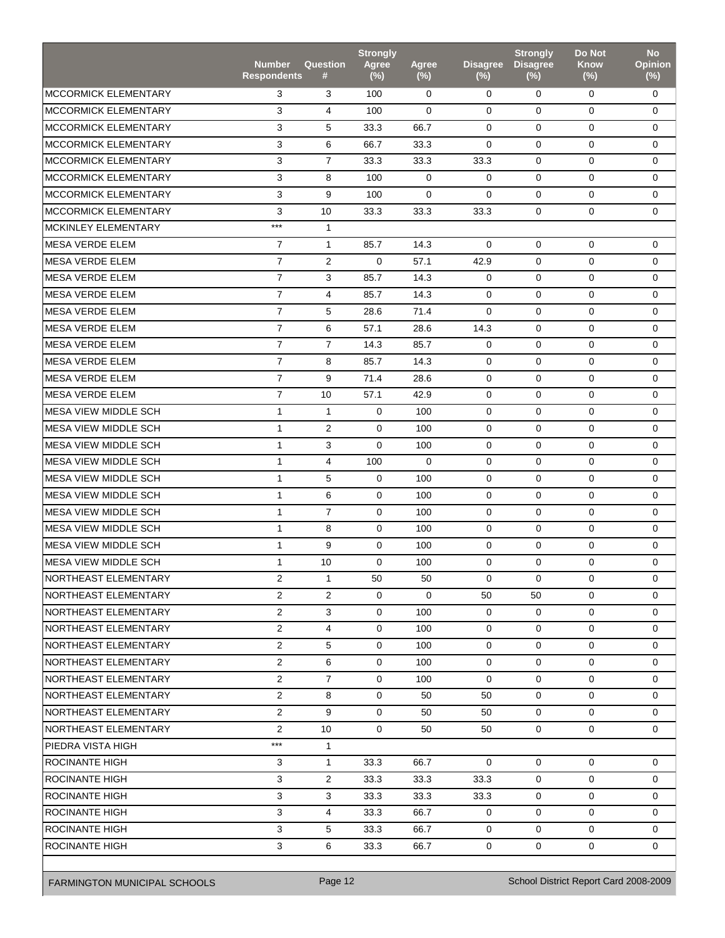|                             | <b>Number</b><br><b>Respondents</b> | <b>Question</b><br># | <b>Strongly</b><br>Agree<br>$(\%)$ | Agree<br>$(\%)$ | <b>Disagree</b><br>$(\%)$ | <b>Strongly</b><br><b>Disagree</b><br>(%) | Do Not<br><b>Know</b><br>$(\%)$ | <b>No</b><br><b>Opinion</b><br>$(\%)$ |
|-----------------------------|-------------------------------------|----------------------|------------------------------------|-----------------|---------------------------|-------------------------------------------|---------------------------------|---------------------------------------|
| MCCORMICK ELEMENTARY        | 3                                   | 3                    | 100                                | 0               | 0                         | 0                                         | 0                               | 0                                     |
| MCCORMICK ELEMENTARY        | 3                                   | $\overline{4}$       | 100                                | $\Omega$        | $\Omega$                  | $\mathbf 0$                               | $\Omega$                        | $\mathbf 0$                           |
| <b>MCCORMICK ELEMENTARY</b> | 3                                   | 5                    | 33.3                               | 66.7            | 0                         | 0                                         | $\Omega$                        | 0                                     |
| <b>MCCORMICK ELEMENTARY</b> | 3                                   | 6                    | 66.7                               | 33.3            | $\mathbf 0$               | $\mathbf 0$                               | $\mathbf 0$                     | 0                                     |
| <b>MCCORMICK ELEMENTARY</b> | 3                                   | $\overline{7}$       | 33.3                               | 33.3            | 33.3                      | 0                                         | $\mathbf 0$                     | 0                                     |
| <b>MCCORMICK ELEMENTARY</b> | 3                                   | 8                    | 100                                | 0               | $\mathbf 0$               | $\mathbf 0$                               | $\mathbf 0$                     | 0                                     |
| <b>MCCORMICK ELEMENTARY</b> | 3                                   | 9                    | 100                                | $\mathbf 0$     | 0                         | 0                                         | $\mathbf 0$                     | 0                                     |
| MCCORMICK ELEMENTARY        | 3                                   | 10                   | 33.3                               | 33.3            | 33.3                      | 0                                         | $\mathbf 0$                     | 0                                     |
| <b>MCKINLEY ELEMENTARY</b>  | $***$                               | $\mathbf{1}$         |                                    |                 |                           |                                           |                                 |                                       |
| <b>MESA VERDE ELEM</b>      | $\overline{7}$                      | $\mathbf{1}$         | 85.7                               | 14.3            | 0                         | 0                                         | $\mathbf 0$                     | 0                                     |
| <b>MESA VERDE ELEM</b>      | $\overline{7}$                      | 2                    | $\Omega$                           | 57.1            | 42.9                      | $\mathbf 0$                               | $\Omega$                        | 0                                     |
| <b>MESA VERDE ELEM</b>      | $\overline{7}$                      | 3                    | 85.7                               | 14.3            | $\mathbf 0$               | $\mathbf 0$                               | $\mathbf 0$                     | $\mathbf 0$                           |
| MFSA VERDE FI FM            | $\overline{7}$                      | $\overline{4}$       | 85.7                               | 14.3            | $\mathbf 0$               | 0                                         | $\mathbf 0$                     | 0                                     |
| <b>MESA VERDE ELEM</b>      | $\overline{7}$                      | 5                    | 28.6                               | 71.4            | $\Omega$                  | $\mathbf 0$                               | 0                               | $\mathbf 0$                           |
| <b>MESA VERDE ELEM</b>      | $\overline{7}$                      | 6                    | 57.1                               | 28.6            | 14.3                      | 0                                         | 0                               | 0                                     |
| <b>MESA VERDE ELEM</b>      | $\overline{7}$                      | $\overline{7}$       | 14.3                               | 85.7            | 0                         | 0                                         | $\mathbf 0$                     | 0                                     |
| <b>MESA VERDE ELEM</b>      | $\overline{7}$                      | 8                    | 85.7                               | 14.3            | $\mathbf 0$               | $\mathbf 0$                               | $\Omega$                        | 0                                     |
| <b>MESA VERDE ELEM</b>      | $\overline{7}$                      | 9                    | 71.4                               | 28.6            | $\mathbf 0$               | $\mathbf 0$                               | $\mathbf 0$                     | 0                                     |
| <b>MESA VERDE ELEM</b>      | $\overline{7}$                      | 10                   | 57.1                               | 42.9            | 0                         | $\mathbf 0$                               | $\mathbf 0$                     | $\mathbf 0$                           |
| <b>MESA VIEW MIDDLE SCH</b> | $\mathbf{1}$                        | $\mathbf{1}$         | $\mathbf 0$                        | 100             | $\mathbf 0$               | $\mathbf 0$                               | $\mathbf 0$                     | 0                                     |
| MESA VIEW MIDDLE SCH        | $\mathbf{1}$                        | 2                    | $\mathbf 0$                        | 100             | 0                         | 0                                         | $\mathbf 0$                     | $\mathbf 0$                           |
| <b>MESA VIEW MIDDLE SCH</b> | $\mathbf{1}$                        | 3                    | $\mathbf 0$                        | 100             | 0                         | $\mathbf 0$                               | $\mathbf{0}$                    | 0                                     |
| MESA VIEW MIDDLE SCH        | $\mathbf{1}$                        | $\overline{4}$       | 100                                | $\mathbf 0$     | 0                         | $\mathbf 0$                               | $\mathbf 0$                     | $\mathbf 0$                           |
| <b>MESA VIEW MIDDLE SCH</b> | $\mathbf{1}$                        | 5                    | 0                                  | 100             | 0                         | 0                                         | $\mathbf 0$                     | 0                                     |
| <b>MESA VIEW MIDDLE SCH</b> | $\mathbf{1}$                        | 6                    | $\mathbf 0$                        | 100             | $\mathbf 0$               | 0                                         | $\mathbf 0$                     | 0                                     |
| MESA VIEW MIDDLE SCH        | $\mathbf{1}$                        | $\overline{7}$       | $\mathbf 0$                        | 100             | 0                         | 0                                         | 0                               | 0                                     |
| MESA VIEW MIDDLE SCH        | $\mathbf{1}$                        | 8                    | $\mathbf 0$                        | 100             | $\mathbf 0$               | 0                                         | $\mathbf 0$                     | 0                                     |
| <b>MESA VIEW MIDDLE SCH</b> | $\mathbf{1}$                        | 9                    | $\mathbf 0$                        | 100             | $\mathbf 0$               | $\mathbf 0$                               | $\mathbf 0$                     | $\mathbf 0$                           |
| MESA VIEW MIDDLE SCH        | $\mathbf{1}$                        | 10                   | 0                                  | 100             | 0                         | $\mathbf 0$                               | $\mathbf{0}$                    | $\mathbf 0$                           |
| NORTHEAST ELEMENTARY        | 2                                   | $\mathbf{1}$         | 50                                 | 50              | 0                         | 0                                         | 0                               | 0                                     |
| NORTHEAST ELEMENTARY        | $\overline{2}$                      | $\overline{2}$       | 0                                  | $\Omega$        | 50                        | 50                                        | $\Omega$                        | 0                                     |
| NORTHEAST ELEMENTARY        | $\overline{2}$                      | 3                    | 0                                  | 100             | 0                         | 0                                         | $\mathbf 0$                     | 0                                     |
| NORTHEAST ELEMENTARY        | $\overline{2}$                      | $\overline{4}$       | 0                                  | 100             | 0                         | 0                                         | $\overline{0}$                  | 0                                     |
| NORTHEAST ELEMENTARY        | $\overline{2}$                      | 5                    | 0                                  | 100             | 0                         | 0                                         | $\mathbf{0}$                    | 0                                     |
| NORTHEAST ELEMENTARY        | $\overline{2}$                      | 6                    | 0                                  | 100             | 0                         | 0                                         | 0                               | 0                                     |
| NORTHEAST ELEMENTARY        | $\overline{2}$                      | $\overline{7}$       | 0                                  | 100             | $\mathbf 0$               | 0                                         | $\mathbf 0$                     | 0                                     |
| NORTHEAST ELEMENTARY        | $\overline{2}$                      | 8                    | 0                                  | 50              | 50                        | 0                                         | $\mathbf 0$                     | 0                                     |
| NORTHEAST ELEMENTARY        | $\overline{2}$                      | 9                    | 0                                  | 50              | 50                        | 0                                         | 0                               | 0                                     |
| NORTHEAST ELEMENTARY        | $\overline{2}$                      | 10 <sup>°</sup>      | 0                                  | 50              | 50                        | 0                                         | $\overline{0}$                  | 0                                     |
| PIEDRA VISTA HIGH           | $***$                               | $\mathbf{1}$         |                                    |                 |                           |                                           |                                 |                                       |
| <b>ROCINANTE HIGH</b>       | 3                                   | $\mathbf{1}$         | 33.3                               | 66.7            | 0                         | 0                                         | $\overline{0}$                  | 0                                     |
| ROCINANTE HIGH              | 3                                   | $\overline{2}$       | 33.3                               | 33.3            | 33.3                      | 0                                         | $\overline{0}$                  | 0                                     |
| ROCINANTE HIGH              | 3                                   | 3                    | 33.3                               | 33.3            | 33.3                      | 0                                         | $\overline{0}$                  | 0                                     |
| ROCINANTE HIGH              | 3                                   | 4                    | 33.3                               | 66.7            | 0                         | 0                                         | 0                               | 0                                     |
| <b>ROCINANTE HIGH</b>       | 3                                   | 5                    | 33.3                               | 66.7            | 0                         | 0                                         | 0                               | 0                                     |
| ROCINANTE HIGH              | 3                                   | 6                    | 33.3                               | 66.7            | $\mathbf 0$               | 0                                         | $\mathbf 0$                     | 0                                     |

FARMINGTON MUNICIPAL SCHOOLS Page 12 School District Report Card 2008-2009